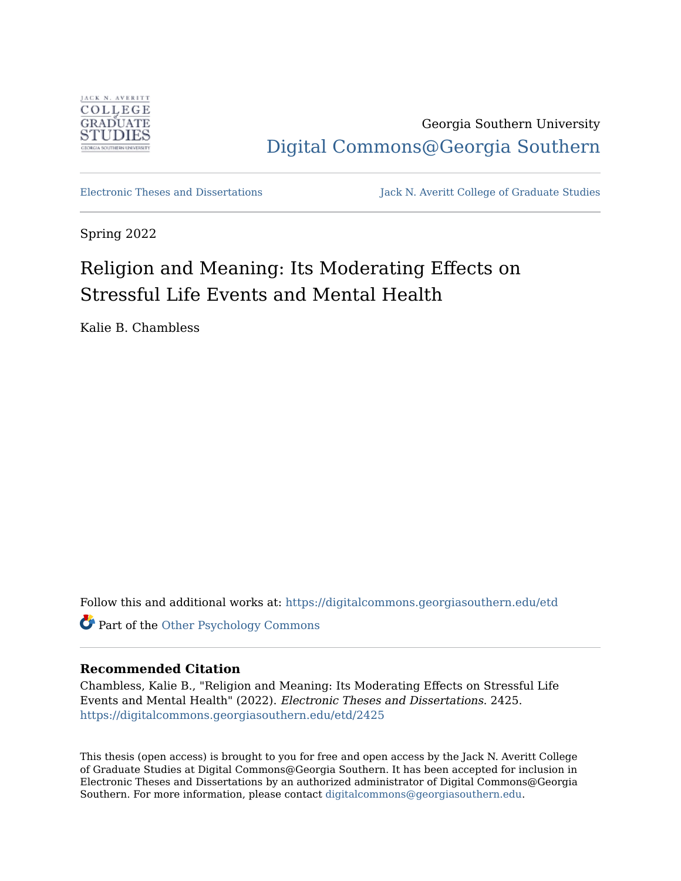

Georgia Southern University [Digital Commons@Georgia Southern](https://digitalcommons.georgiasouthern.edu/) 

[Electronic Theses and Dissertations](https://digitalcommons.georgiasouthern.edu/etd) Jack N. Averitt College of Graduate Studies

Spring 2022

# Religion and Meaning: Its Moderating Effects on Stressful Life Events and Mental Health

Kalie B. Chambless

Follow this and additional works at: [https://digitalcommons.georgiasouthern.edu/etd](https://digitalcommons.georgiasouthern.edu/etd?utm_source=digitalcommons.georgiasouthern.edu%2Fetd%2F2425&utm_medium=PDF&utm_campaign=PDFCoverPages) 

Part of the [Other Psychology Commons](https://network.bepress.com/hgg/discipline/415?utm_source=digitalcommons.georgiasouthern.edu%2Fetd%2F2425&utm_medium=PDF&utm_campaign=PDFCoverPages) 

# **Recommended Citation**

Chambless, Kalie B., "Religion and Meaning: Its Moderating Effects on Stressful Life Events and Mental Health" (2022). Electronic Theses and Dissertations. 2425. [https://digitalcommons.georgiasouthern.edu/etd/2425](https://digitalcommons.georgiasouthern.edu/etd/2425?utm_source=digitalcommons.georgiasouthern.edu%2Fetd%2F2425&utm_medium=PDF&utm_campaign=PDFCoverPages) 

This thesis (open access) is brought to you for free and open access by the Jack N. Averitt College of Graduate Studies at Digital Commons@Georgia Southern. It has been accepted for inclusion in Electronic Theses and Dissertations by an authorized administrator of Digital Commons@Georgia Southern. For more information, please contact [digitalcommons@georgiasouthern.edu](mailto:digitalcommons@georgiasouthern.edu).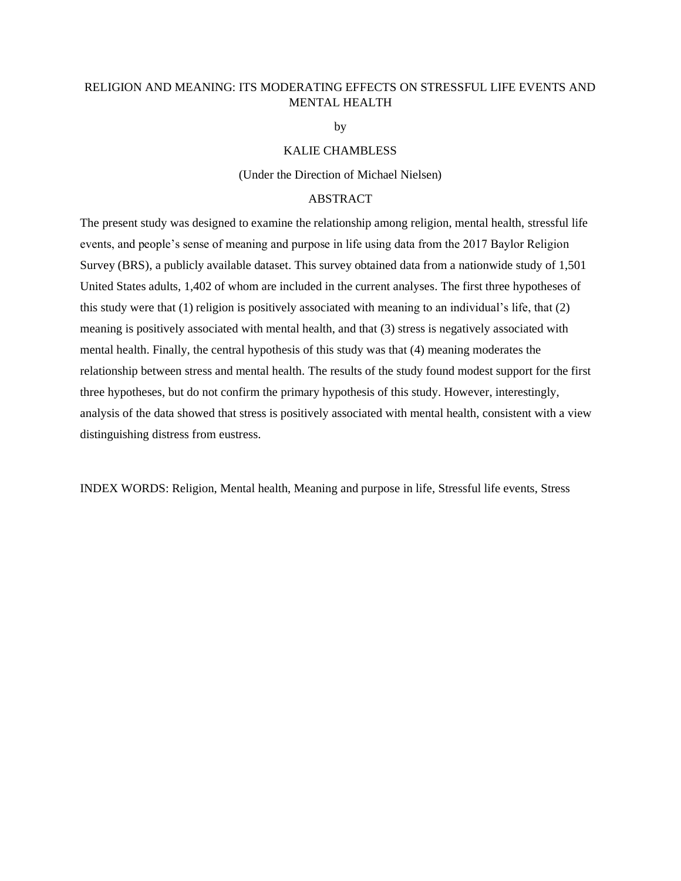# RELIGION AND MEANING: ITS MODERATING EFFECTS ON STRESSFUL LIFE EVENTS AND MENTAL HEALTH

by

# KALIE CHAMBLESS

#### (Under the Direction of Michael Nielsen)

# **ABSTRACT**

The present study was designed to examine the relationship among religion, mental health, stressful life events, and people's sense of meaning and purpose in life using data from the 2017 Baylor Religion Survey (BRS), a publicly available dataset. This survey obtained data from a nationwide study of 1,501 United States adults, 1,402 of whom are included in the current analyses. The first three hypotheses of this study were that (1) religion is positively associated with meaning to an individual's life, that (2) meaning is positively associated with mental health, and that (3) stress is negatively associated with mental health. Finally, the central hypothesis of this study was that (4) meaning moderates the relationship between stress and mental health. The results of the study found modest support for the first three hypotheses, but do not confirm the primary hypothesis of this study. However, interestingly, analysis of the data showed that stress is positively associated with mental health, consistent with a view distinguishing distress from eustress.

INDEX WORDS: Religion, Mental health, Meaning and purpose in life, Stressful life events, Stress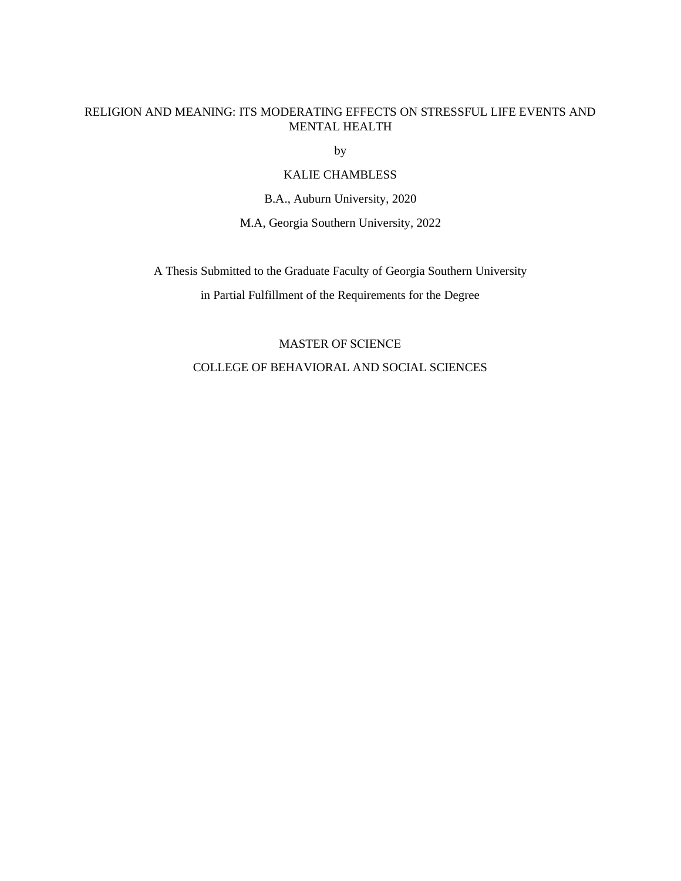# RELIGION AND MEANING: ITS MODERATING EFFECTS ON STRESSFUL LIFE EVENTS AND MENTAL HEALTH

by

# KALIE CHAMBLESS

B.A., Auburn University, 2020

M.A, Georgia Southern University, 2022

A Thesis Submitted to the Graduate Faculty of Georgia Southern University

in Partial Fulfillment of the Requirements for the Degree

# MASTER OF SCIENCE COLLEGE OF BEHAVIORAL AND SOCIAL SCIENCES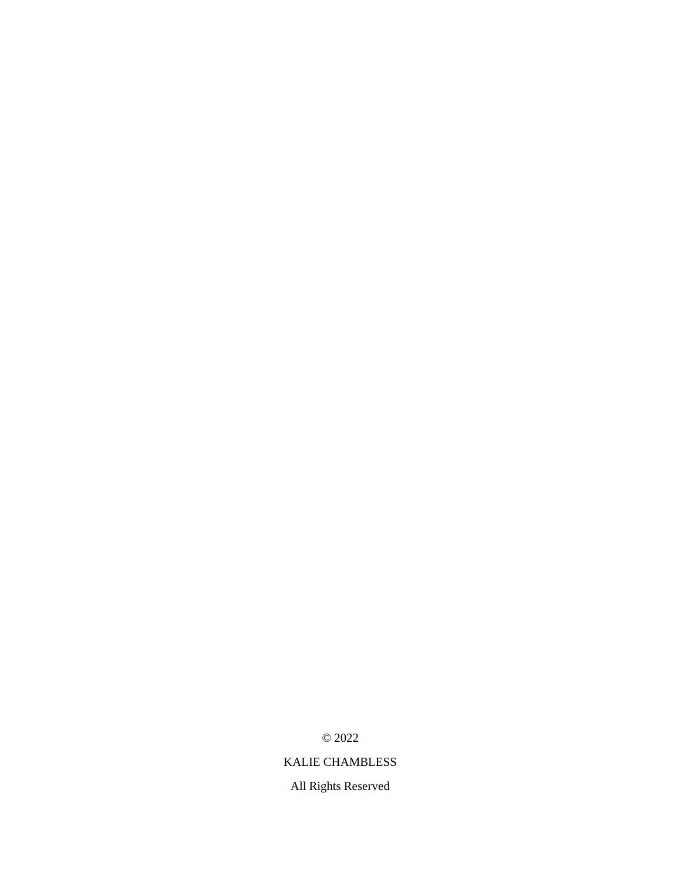© 2022

# KALIE CHAMBLESS

All Rights Reserved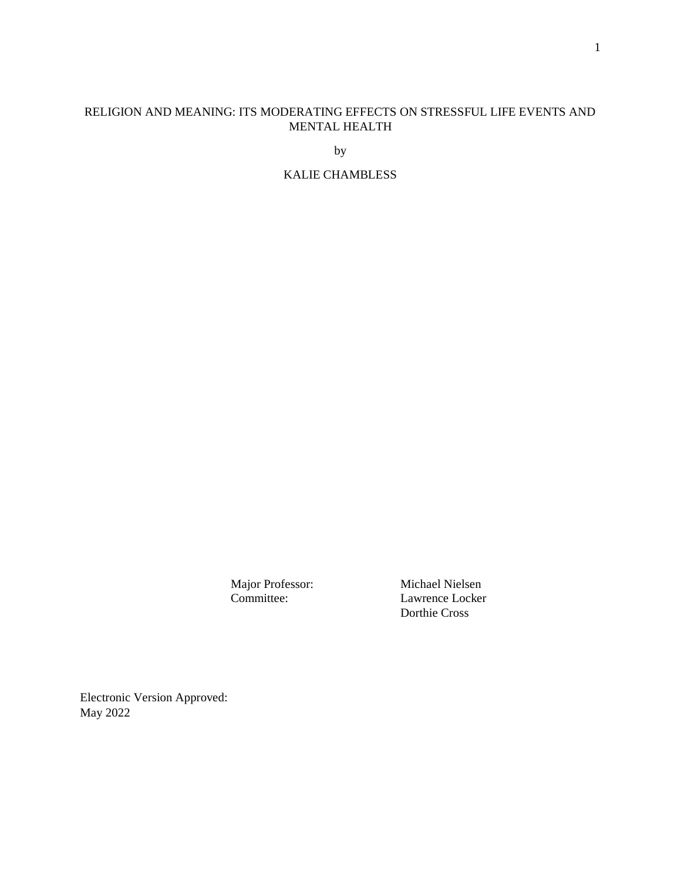# RELIGION AND MEANING: ITS MODERATING EFFECTS ON STRESSFUL LIFE EVENTS AND MENTAL HEALTH

by

KALIE CHAMBLESS

Major Professor: Michael Nielsen<br>
Committee: Lawrence Locker Lawrence Locker Dorthie Cross

Electronic Version Approved: May 2022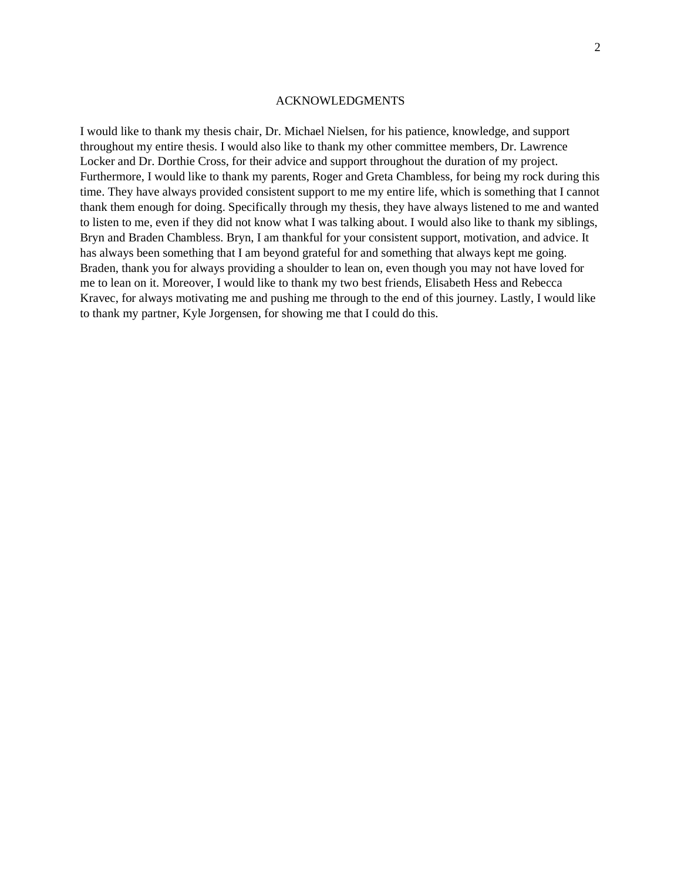#### ACKNOWLEDGMENTS

I would like to thank my thesis chair, Dr. Michael Nielsen, for his patience, knowledge, and support throughout my entire thesis. I would also like to thank my other committee members, Dr. Lawrence Locker and Dr. Dorthie Cross, for their advice and support throughout the duration of my project. Furthermore, I would like to thank my parents, Roger and Greta Chambless, for being my rock during this time. They have always provided consistent support to me my entire life, which is something that I cannot thank them enough for doing. Specifically through my thesis, they have always listened to me and wanted to listen to me, even if they did not know what I was talking about. I would also like to thank my siblings, Bryn and Braden Chambless. Bryn, I am thankful for your consistent support, motivation, and advice. It has always been something that I am beyond grateful for and something that always kept me going. Braden, thank you for always providing a shoulder to lean on, even though you may not have loved for me to lean on it. Moreover, I would like to thank my two best friends, Elisabeth Hess and Rebecca Kravec, for always motivating me and pushing me through to the end of this journey. Lastly, I would like to thank my partner, Kyle Jorgensen, for showing me that I could do this.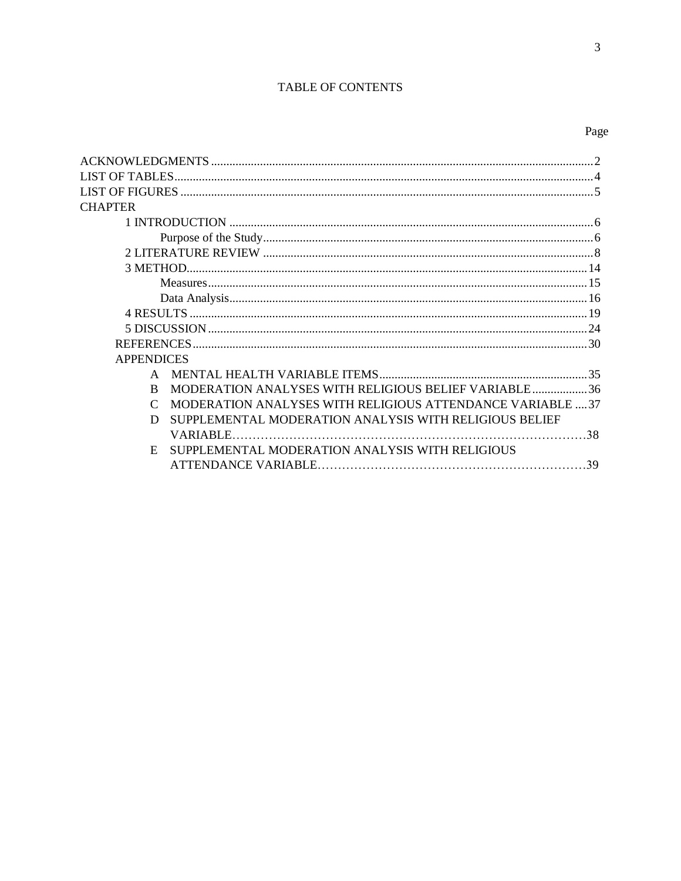# TABLE OF CONTENTS

 $\overline{3}$ 

| <b>LIST OF TABLES.</b> |                                                            |  |
|------------------------|------------------------------------------------------------|--|
|                        |                                                            |  |
| <b>CHAPTER</b>         |                                                            |  |
|                        |                                                            |  |
|                        |                                                            |  |
|                        |                                                            |  |
|                        |                                                            |  |
|                        |                                                            |  |
|                        |                                                            |  |
|                        |                                                            |  |
|                        |                                                            |  |
|                        |                                                            |  |
| <b>APPENDICES</b>      |                                                            |  |
| $\mathbf{A}$           |                                                            |  |
| R                      | MODERATION ANALYSES WITH RELIGIOUS BELIEF VARIABLE36       |  |
|                        | MODERATION ANALYSES WITH RELIGIOUS ATTENDANCE VARIABLE  37 |  |
| D                      | SUPPLEMENTAL MODERATION ANALYSIS WITH RELIGIOUS BELIEF     |  |
| <b>VARIABLE.</b>       |                                                            |  |
| E.                     | SUPPLEMENTAL MODERATION ANALYSIS WITH RELIGIOUS            |  |
|                        |                                                            |  |
|                        |                                                            |  |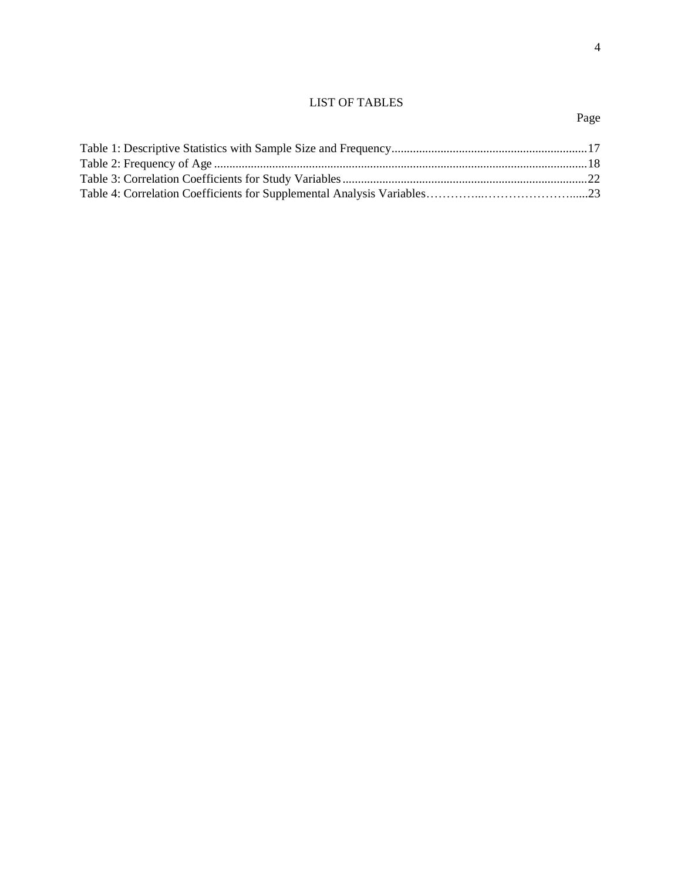# LIST OF TABLES

# Page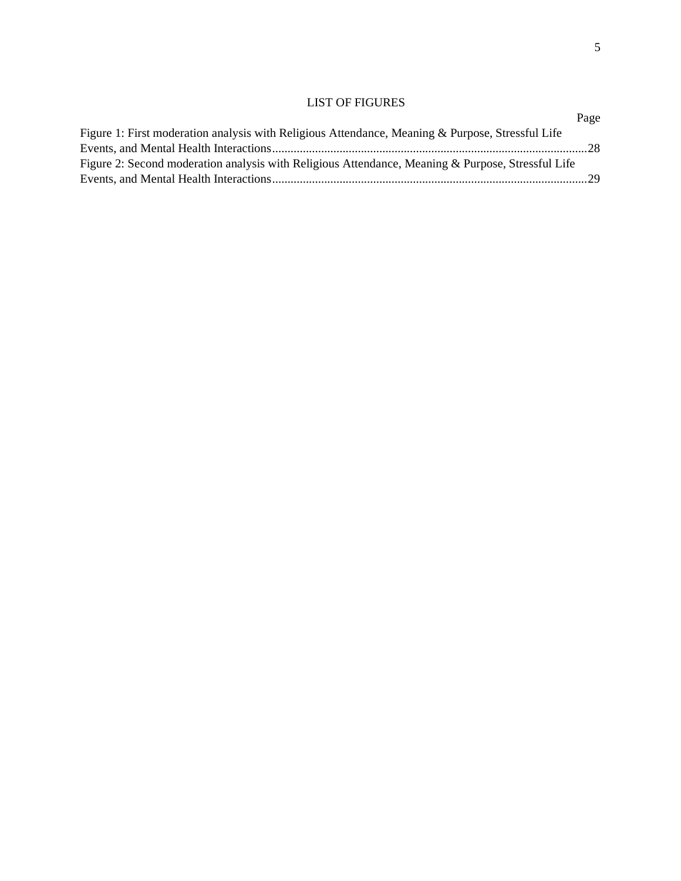# LIST OF FIGURES

|                                                                                                   | Page |
|---------------------------------------------------------------------------------------------------|------|
| Figure 1: First moderation analysis with Religious Attendance, Meaning & Purpose, Stressful Life  |      |
|                                                                                                   |      |
| Figure 2: Second moderation analysis with Religious Attendance, Meaning & Purpose, Stressful Life |      |
|                                                                                                   |      |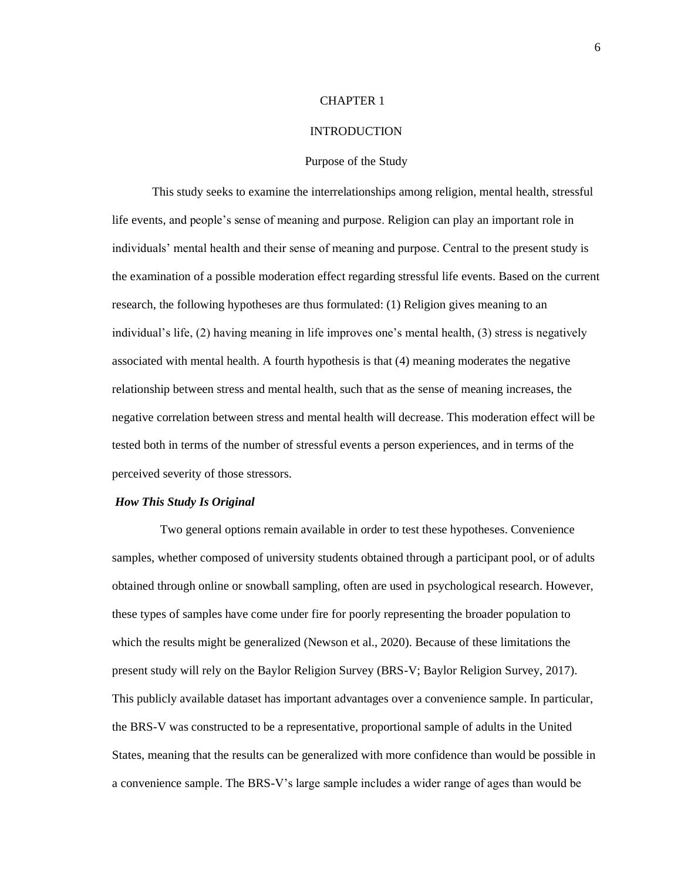### <span id="page-9-0"></span>CHAPTER 1

# INTRODUCTION

#### Purpose of the Study

This study seeks to examine the interrelationships among religion, mental health, stressful life events, and people's sense of meaning and purpose. Religion can play an important role in individuals' mental health and their sense of meaning and purpose. Central to the present study is the examination of a possible moderation effect regarding stressful life events. Based on the current research, the following hypotheses are thus formulated: (1) Religion gives meaning to an individual's life, (2) having meaning in life improves one's mental health, (3) stress is negatively associated with mental health. A fourth hypothesis is that (4) meaning moderates the negative relationship between stress and mental health, such that as the sense of meaning increases, the negative correlation between stress and mental health will decrease. This moderation effect will be tested both in terms of the number of stressful events a person experiences, and in terms of the perceived severity of those stressors.

# *How This Study Is Original*

Two general options remain available in order to test these hypotheses. Convenience samples, whether composed of university students obtained through a participant pool, or of adults obtained through online or snowball sampling, often are used in psychological research. However, these types of samples have come under fire for poorly representing the broader population to which the results might be generalized (Newson et al., 2020). Because of these limitations the present study will rely on the Baylor Religion Survey (BRS-V; Baylor Religion Survey, 2017). This publicly available dataset has important advantages over a convenience sample. In particular, the BRS-V was constructed to be a representative, proportional sample of adults in the United States, meaning that the results can be generalized with more confidence than would be possible in a convenience sample. The BRS-V's large sample includes a wider range of ages than would be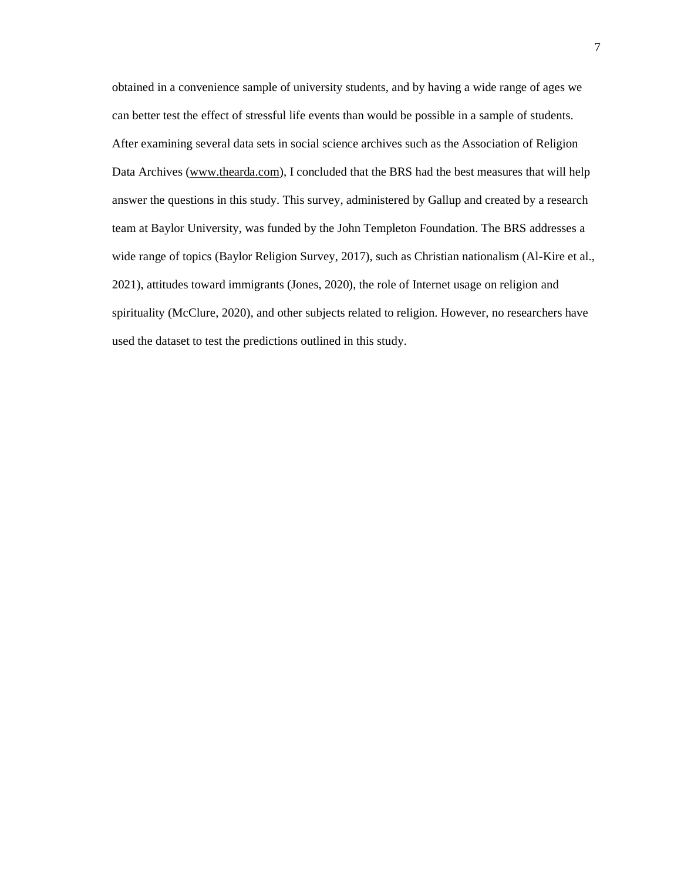obtained in a convenience sample of university students, and by having a wide range of ages we can better test the effect of stressful life events than would be possible in a sample of students. After examining several data sets in social science archives such as the Association of Religion Data Archives [\(www.thearda.com\)](http://www.thearda.com/), I concluded that the BRS had the best measures that will help answer the questions in this study. This survey, administered by Gallup and created by a research team at Baylor University, was funded by the John Templeton Foundation. The BRS addresses a wide range of topics (Baylor Religion Survey, 2017), such as Christian nationalism (Al-Kire et al., 2021), attitudes toward immigrants (Jones, 2020), the role of Internet usage on religion and spirituality (McClure, 2020), and other subjects related to religion. However, no researchers have used the dataset to test the predictions outlined in this study.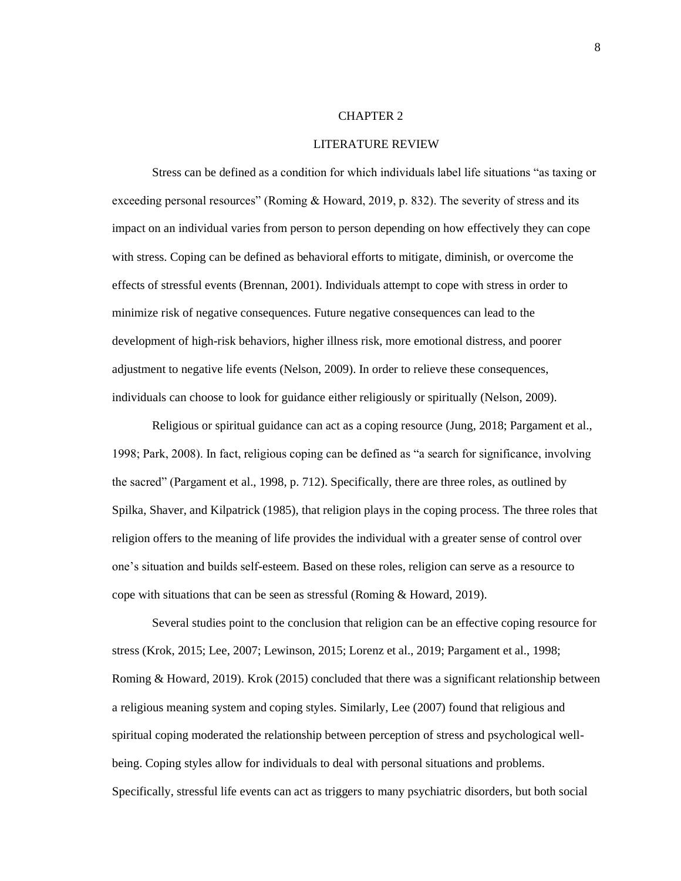#### <span id="page-11-0"></span>CHAPTER 2

#### LITERATURE REVIEW

Stress can be defined as a condition for which individuals label life situations "as taxing or exceeding personal resources" (Roming & Howard, 2019, p. 832). The severity of stress and its impact on an individual varies from person to person depending on how effectively they can cope with stress. Coping can be defined as behavioral efforts to mitigate, diminish, or overcome the effects of stressful events (Brennan, 2001). Individuals attempt to cope with stress in order to minimize risk of negative consequences. Future negative consequences can lead to the development of high-risk behaviors, higher illness risk, more emotional distress, and poorer adjustment to negative life events (Nelson, 2009). In order to relieve these consequences, individuals can choose to look for guidance either religiously or spiritually (Nelson, 2009).

Religious or spiritual guidance can act as a coping resource (Jung, 2018; Pargament et al., 1998; Park, 2008). In fact, religious coping can be defined as "a search for significance, involving the sacred" (Pargament et al., 1998, p. 712). Specifically, there are three roles, as outlined by Spilka, Shaver, and Kilpatrick (1985), that religion plays in the coping process. The three roles that religion offers to the meaning of life provides the individual with a greater sense of control over one's situation and builds self-esteem. Based on these roles, religion can serve as a resource to cope with situations that can be seen as stressful (Roming & Howard, 2019).

Several studies point to the conclusion that religion can be an effective coping resource for stress (Krok, 2015; Lee, 2007; Lewinson, 2015; Lorenz et al., 2019; Pargament et al., 1998; Roming & Howard, 2019). Krok (2015) concluded that there was a significant relationship between a religious meaning system and coping styles. Similarly, Lee (2007) found that religious and spiritual coping moderated the relationship between perception of stress and psychological wellbeing. Coping styles allow for individuals to deal with personal situations and problems. Specifically, stressful life events can act as triggers to many psychiatric disorders, but both social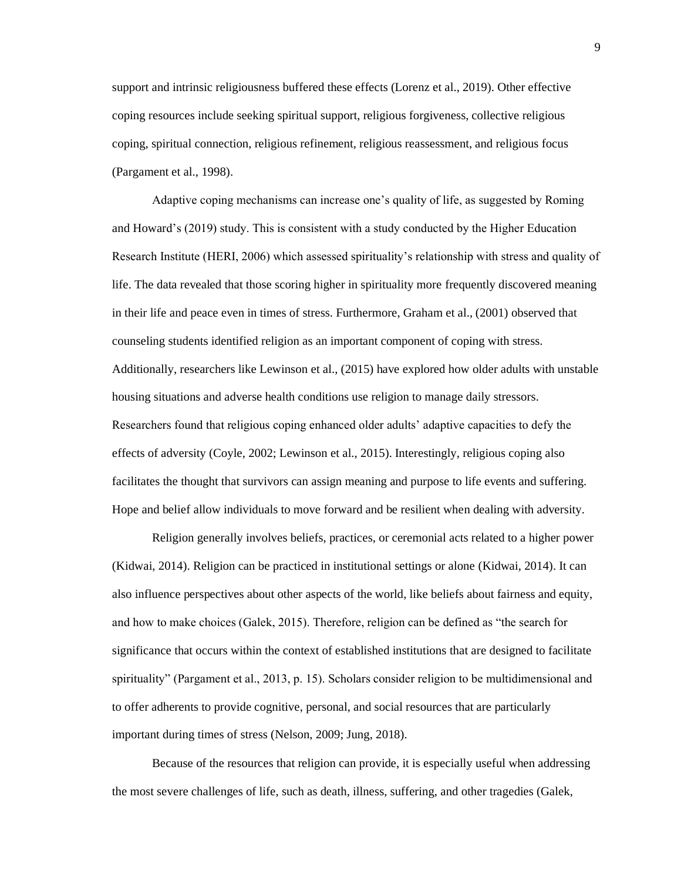support and intrinsic religiousness buffered these effects (Lorenz et al., 2019). Other effective coping resources include seeking spiritual support, religious forgiveness, collective religious coping, spiritual connection, religious refinement, religious reassessment, and religious focus (Pargament et al., 1998).

Adaptive coping mechanisms can increase one's quality of life, as suggested by Roming and Howard's (2019) study. This is consistent with a study conducted by the Higher Education Research Institute (HERI, 2006) which assessed spirituality's relationship with stress and quality of life. The data revealed that those scoring higher in spirituality more frequently discovered meaning in their life and peace even in times of stress. Furthermore, Graham et al., (2001) observed that counseling students identified religion as an important component of coping with stress. Additionally, researchers like Lewinson et al., (2015) have explored how older adults with unstable housing situations and adverse health conditions use religion to manage daily stressors. Researchers found that religious coping enhanced older adults' adaptive capacities to defy the effects of adversity (Coyle, 2002; Lewinson et al., 2015). Interestingly, religious coping also facilitates the thought that survivors can assign meaning and purpose to life events and suffering. Hope and belief allow individuals to move forward and be resilient when dealing with adversity.

Religion generally involves beliefs, practices, or ceremonial acts related to a higher power (Kidwai, 2014). Religion can be practiced in institutional settings or alone (Kidwai, 2014). It can also influence perspectives about other aspects of the world, like beliefs about fairness and equity, and how to make choices (Galek, 2015). Therefore, religion can be defined as "the search for significance that occurs within the context of established institutions that are designed to facilitate spirituality" (Pargament et al., 2013, p. 15). Scholars consider religion to be multidimensional and to offer adherents to provide cognitive, personal, and social resources that are particularly important during times of stress (Nelson, 2009; Jung, 2018).

Because of the resources that religion can provide, it is especially useful when addressing the most severe challenges of life, such as death, illness, suffering, and other tragedies (Galek,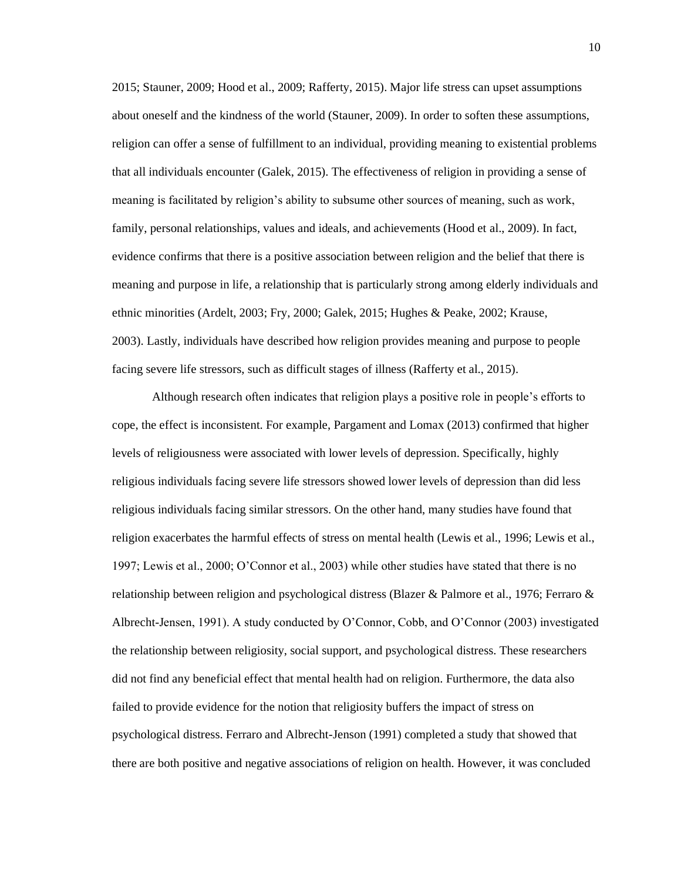2015; Stauner, 2009; Hood et al., 2009; Rafferty, 2015). Major life stress can upset assumptions about oneself and the kindness of the world (Stauner, 2009). In order to soften these assumptions, religion can offer a sense of fulfillment to an individual, providing meaning to existential problems that all individuals encounter (Galek, 2015). The effectiveness of religion in providing a sense of meaning is facilitated by religion's ability to subsume other sources of meaning, such as work, family, personal relationships, values and ideals, and achievements (Hood et al., 2009). In fact, evidence confirms that there is a positive association between religion and the belief that there is meaning and purpose in life, a relationship that is particularly strong among elderly individuals and ethnic minorities (Ardelt, 2003; Fry, 2000; Galek, 2015; Hughes & Peake, 2002; Krause, 2003). Lastly, individuals have described how religion provides meaning and purpose to people facing severe life stressors, such as difficult stages of illness (Rafferty et al., 2015).

Although research often indicates that religion plays a positive role in people's efforts to cope, the effect is inconsistent. For example, Pargament and Lomax (2013) confirmed that higher levels of religiousness were associated with lower levels of depression. Specifically, highly religious individuals facing severe life stressors showed lower levels of depression than did less religious individuals facing similar stressors. On the other hand, many studies have found that religion exacerbates the harmful effects of stress on mental health (Lewis et al., 1996; Lewis et al., 1997; Lewis et al., 2000; O'Connor et al., 2003) while other studies have stated that there is no relationship between religion and psychological distress (Blazer & Palmore et al., 1976; Ferraro & Albrecht-Jensen, 1991). A study conducted by O'Connor, Cobb, and O'Connor (2003) investigated the relationship between religiosity, social support, and psychological distress. These researchers did not find any beneficial effect that mental health had on religion. Furthermore, the data also failed to provide evidence for the notion that religiosity buffers the impact of stress on psychological distress. Ferraro and Albrecht-Jenson (1991) completed a study that showed that there are both positive and negative associations of religion on health. However, it was concluded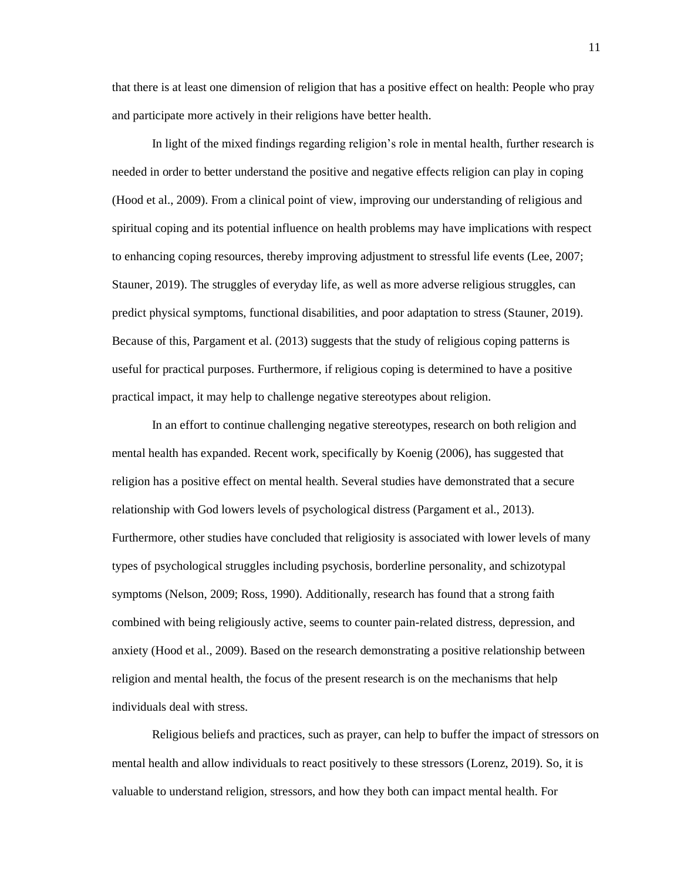that there is at least one dimension of religion that has a positive effect on health: People who pray and participate more actively in their religions have better health.

In light of the mixed findings regarding religion's role in mental health, further research is needed in order to better understand the positive and negative effects religion can play in coping (Hood et al., 2009). From a clinical point of view, improving our understanding of religious and spiritual coping and its potential influence on health problems may have implications with respect to enhancing coping resources, thereby improving adjustment to stressful life events (Lee, 2007; Stauner, 2019). The struggles of everyday life, as well as more adverse religious struggles, can predict physical symptoms, functional disabilities, and poor adaptation to stress (Stauner, 2019). Because of this, Pargament et al. (2013) suggests that the study of religious coping patterns is useful for practical purposes. Furthermore, if religious coping is determined to have a positive practical impact, it may help to challenge negative stereotypes about religion.

In an effort to continue challenging negative stereotypes, research on both religion and mental health has expanded. Recent work, specifically by Koenig (2006), has suggested that religion has a positive effect on mental health. Several studies have demonstrated that a secure relationship with God lowers levels of psychological distress (Pargament et al., 2013). Furthermore, other studies have concluded that religiosity is associated with lower levels of many types of psychological struggles including psychosis, borderline personality, and schizotypal symptoms (Nelson, 2009; Ross, 1990). Additionally, research has found that a strong faith combined with being religiously active, seems to counter pain-related distress, depression, and anxiety (Hood et al., 2009). Based on the research demonstrating a positive relationship between religion and mental health, the focus of the present research is on the mechanisms that help individuals deal with stress.

Religious beliefs and practices, such as prayer, can help to buffer the impact of stressors on mental health and allow individuals to react positively to these stressors (Lorenz, 2019). So, it is valuable to understand religion, stressors, and how they both can impact mental health. For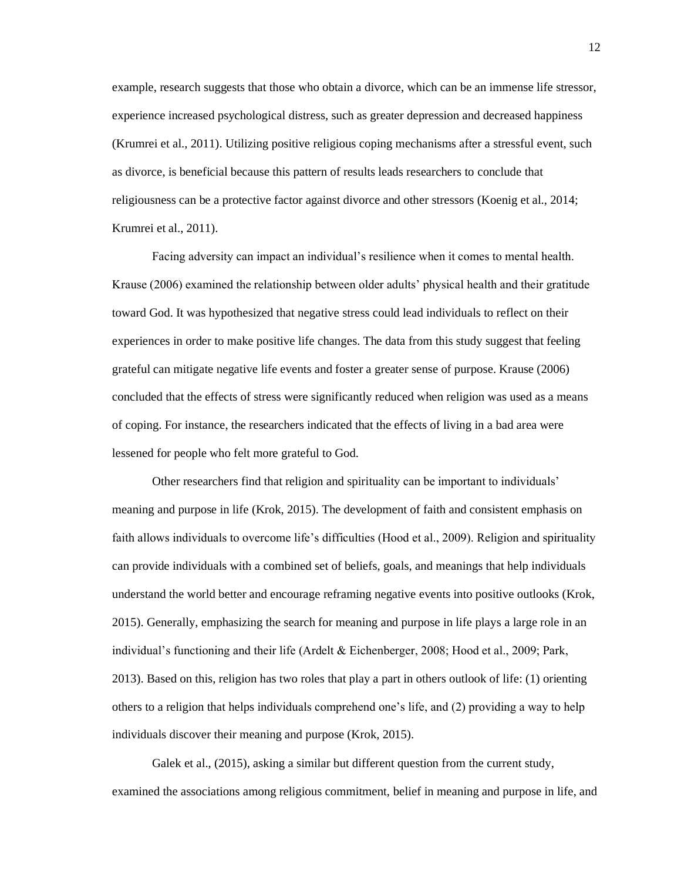example, research suggests that those who obtain a divorce, which can be an immense life stressor, experience increased psychological distress, such as greater depression and decreased happiness (Krumrei et al., 2011). Utilizing positive religious coping mechanisms after a stressful event, such as divorce, is beneficial because this pattern of results leads researchers to conclude that religiousness can be a protective factor against divorce and other stressors (Koenig et al., 2014; Krumrei et al., 2011).

Facing adversity can impact an individual's resilience when it comes to mental health. Krause (2006) examined the relationship between older adults' physical health and their gratitude toward God. It was hypothesized that negative stress could lead individuals to reflect on their experiences in order to make positive life changes. The data from this study suggest that feeling grateful can mitigate negative life events and foster a greater sense of purpose. Krause (2006) concluded that the effects of stress were significantly reduced when religion was used as a means of coping. For instance, the researchers indicated that the effects of living in a bad area were lessened for people who felt more grateful to God.

Other researchers find that religion and spirituality can be important to individuals' meaning and purpose in life (Krok, 2015). The development of faith and consistent emphasis on faith allows individuals to overcome life's difficulties (Hood et al., 2009). Religion and spirituality can provide individuals with a combined set of beliefs, goals, and meanings that help individuals understand the world better and encourage reframing negative events into positive outlooks (Krok, 2015). Generally, emphasizing the search for meaning and purpose in life plays a large role in an individual's functioning and their life (Ardelt & Eichenberger, 2008; Hood et al., 2009; Park, 2013). Based on this, religion has two roles that play a part in others outlook of life: (1) orienting others to a religion that helps individuals comprehend one's life, and (2) providing a way to help individuals discover their meaning and purpose (Krok, 2015).

Galek et al., (2015), asking a similar but different question from the current study, examined the associations among religious commitment, belief in meaning and purpose in life, and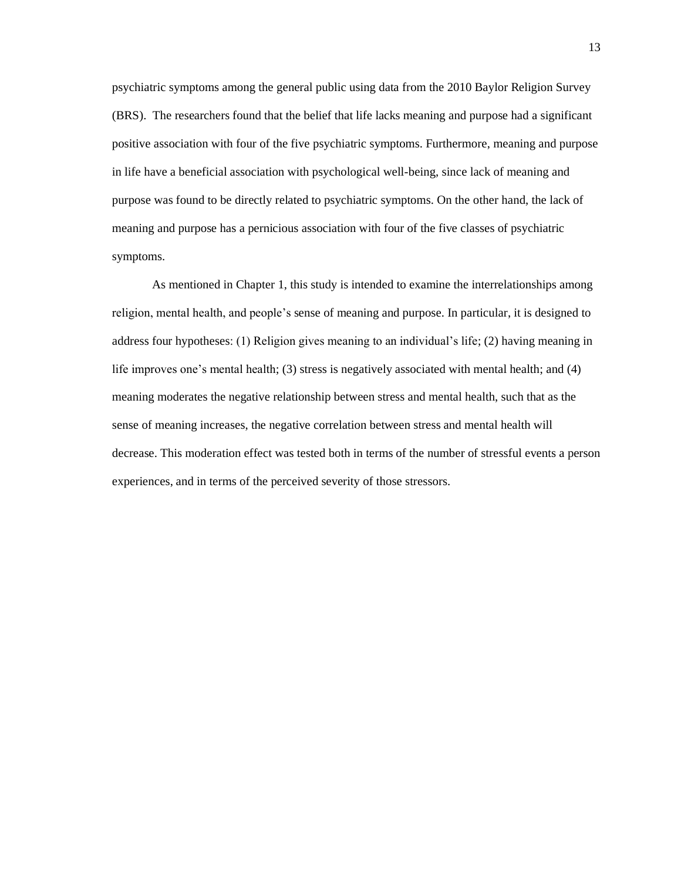psychiatric symptoms among the general public using data from the 2010 Baylor Religion Survey (BRS). The researchers found that the belief that life lacks meaning and purpose had a significant positive association with four of the five psychiatric symptoms. Furthermore, meaning and purpose in life have a beneficial association with psychological well-being, since lack of meaning and purpose was found to be directly related to psychiatric symptoms. On the other hand, the lack of meaning and purpose has a pernicious association with four of the five classes of psychiatric symptoms.

As mentioned in Chapter 1, this study is intended to examine the interrelationships among religion, mental health, and people's sense of meaning and purpose. In particular, it is designed to address four hypotheses: (1) Religion gives meaning to an individual's life; (2) having meaning in life improves one's mental health; (3) stress is negatively associated with mental health; and (4) meaning moderates the negative relationship between stress and mental health, such that as the sense of meaning increases, the negative correlation between stress and mental health will decrease. This moderation effect was tested both in terms of the number of stressful events a person experiences, and in terms of the perceived severity of those stressors.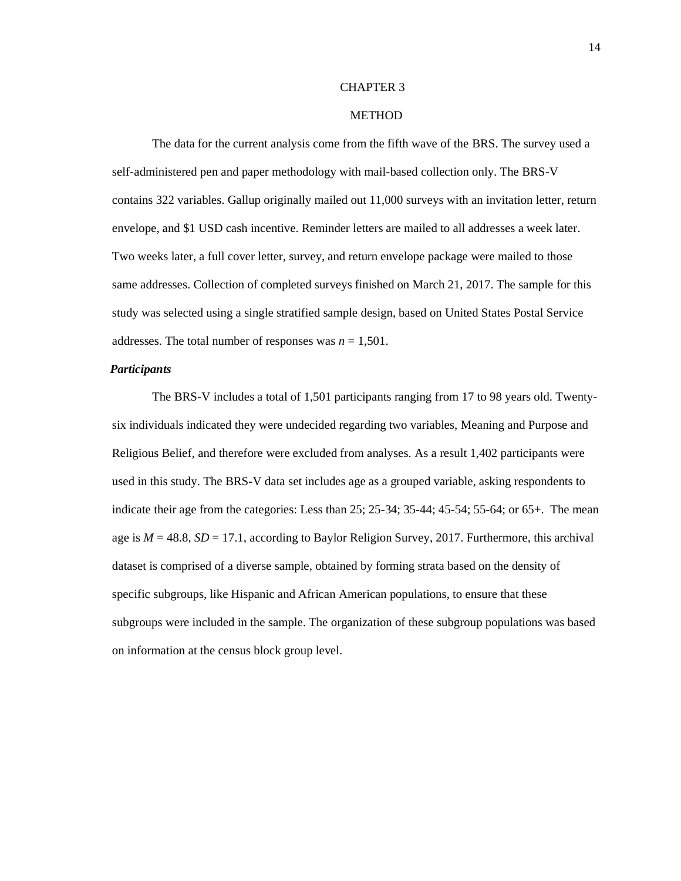#### <span id="page-17-0"></span>CHAPTER 3

#### **METHOD**

The data for the current analysis come from the fifth wave of the BRS. The survey used a self-administered pen and paper methodology with mail-based collection only. The BRS-V contains 322 variables. Gallup originally mailed out 11,000 surveys with an invitation letter, return envelope, and \$1 USD cash incentive. Reminder letters are mailed to all addresses a week later. Two weeks later, a full cover letter, survey, and return envelope package were mailed to those same addresses. Collection of completed surveys finished on March 21, 2017. The sample for this study was selected using a single stratified sample design, based on United States Postal Service addresses. The total number of responses was  $n = 1,501$ .

# *Participants*

The BRS-V includes a total of 1,501 participants ranging from 17 to 98 years old. Twentysix individuals indicated they were undecided regarding two variables, Meaning and Purpose and Religious Belief, and therefore were excluded from analyses. As a result 1,402 participants were used in this study. The BRS-V data set includes age as a grouped variable, asking respondents to indicate their age from the categories: Less than 25; 25-34; 35-44; 45-54; 55-64; or 65+. The mean age is  $M = 48.8$ ,  $SD = 17.1$ , according to Baylor Religion Survey, 2017. Furthermore, this archival dataset is comprised of a diverse sample, obtained by forming strata based on the density of specific subgroups, like Hispanic and African American populations, to ensure that these subgroups were included in the sample. The organization of these subgroup populations was based on information at the census block group level.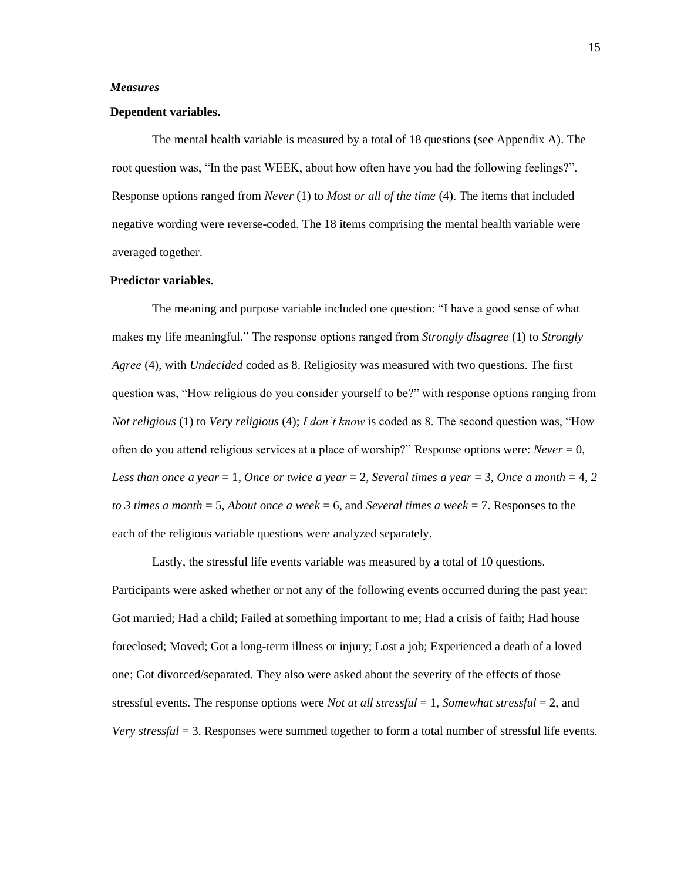#### *Measures*

#### **Dependent variables.**

The mental health variable is measured by a total of 18 questions (see Appendix A). The root question was, "In the past WEEK, about how often have you had the following feelings?". Response options ranged from *Never* (1) to *Most or all of the time* (4). The items that included negative wording were reverse-coded. The 18 items comprising the mental health variable were averaged together.

# **Predictor variables.**

The meaning and purpose variable included one question: "I have a good sense of what makes my life meaningful." The response options ranged from *Strongly disagree* (1) to *Strongly Agree* (4), with *Undecided* coded as 8. Religiosity was measured with two questions. The first question was, "How religious do you consider yourself to be?" with response options ranging from *Not religious* (1) to *Very religious* (4); *I don't know* is coded as 8. The second question was, "How often do you attend religious services at a place of worship?" Response options were: *Never* = 0, *Less than once a year* = 1, *Once or twice a year* = 2, *Several times a year* = 3, *Once a month* = 4, 2 *to 3 times a month* = 5, *About once a week* = 6, and *Several times a week* = 7. Responses to the each of the religious variable questions were analyzed separately.

Lastly, the stressful life events variable was measured by a total of 10 questions. Participants were asked whether or not any of the following events occurred during the past year: Got married; Had a child; Failed at something important to me; Had a crisis of faith; Had house foreclosed; Moved; Got a long-term illness or injury; Lost a job; Experienced a death of a loved one; Got divorced/separated. They also were asked about the severity of the effects of those stressful events. The response options were *Not at all stressful* = 1, *Somewhat stressful* = 2, and *Very stressful* = 3. Responses were summed together to form a total number of stressful life events.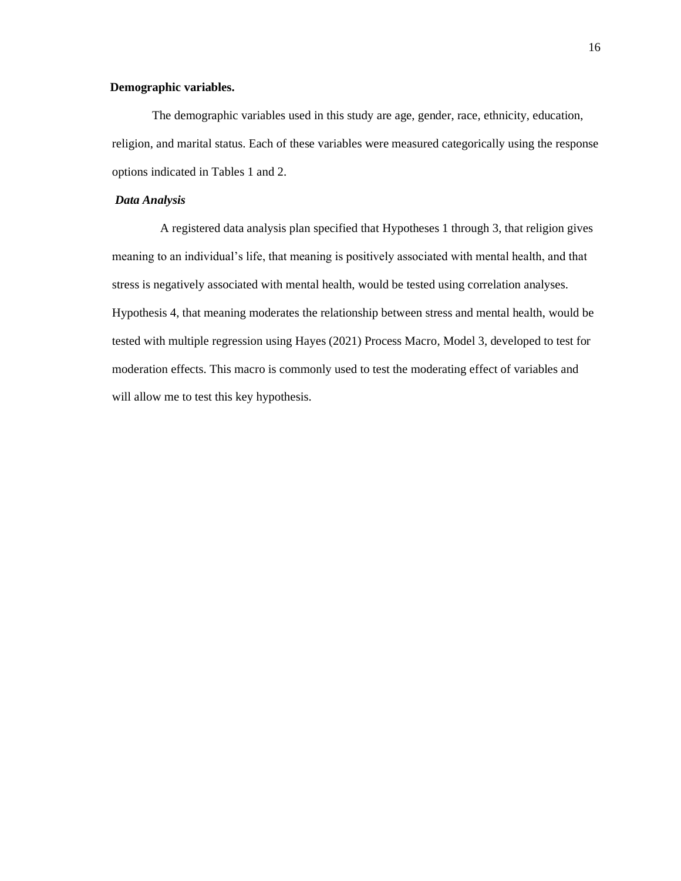# **Demographic variables.**

The demographic variables used in this study are age, gender, race, ethnicity, education, religion, and marital status. Each of these variables were measured categorically using the response options indicated in Tables 1 and 2.

#### *Data Analysis*

A registered data analysis plan specified that Hypotheses 1 through 3, that religion gives meaning to an individual's life, that meaning is positively associated with mental health, and that stress is negatively associated with mental health, would be tested using correlation analyses. Hypothesis 4, that meaning moderates the relationship between stress and mental health, would be tested with multiple regression using Hayes (2021) Process Macro, Model 3, developed to test for moderation effects. This macro is commonly used to test the moderating effect of variables and will allow me to test this key hypothesis.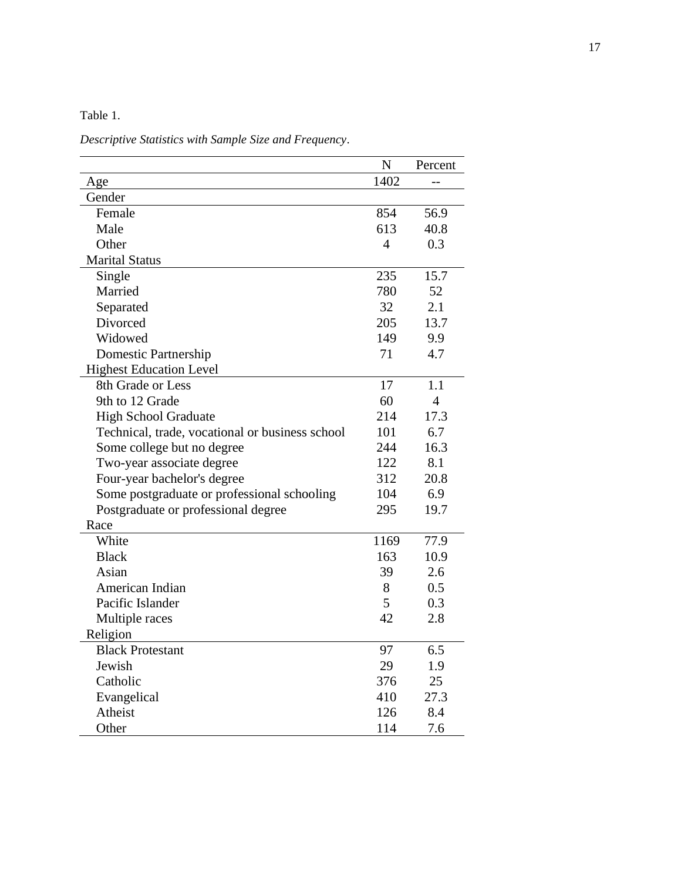Table 1.

*Descriptive Statistics with Sample Size and Frequency*.

|                                                 | N    | Percent |
|-------------------------------------------------|------|---------|
| Age                                             | 1402 |         |
| Gender                                          |      |         |
| Female                                          | 854  | 56.9    |
| Male                                            | 613  | 40.8    |
| Other                                           | 4    | 0.3     |
| <b>Marital Status</b>                           |      |         |
| Single                                          | 235  | 15.7    |
| Married                                         | 780  | 52      |
| Separated                                       | 32   | 2.1     |
| Divorced                                        | 205  | 13.7    |
| Widowed                                         | 149  | 9.9     |
| Domestic Partnership                            | 71   | 4.7     |
| <b>Highest Education Level</b>                  |      |         |
| 8th Grade or Less                               | 17   | 1.1     |
| 9th to 12 Grade                                 | 60   | 4       |
| <b>High School Graduate</b>                     | 214  | 17.3    |
| Technical, trade, vocational or business school | 101  | 6.7     |
| Some college but no degree                      | 244  | 16.3    |
| Two-year associate degree                       | 122  | 8.1     |
| Four-year bachelor's degree                     | 312  | 20.8    |
| Some postgraduate or professional schooling     | 104  | 6.9     |
| Postgraduate or professional degree             | 295  | 19.7    |
| Race                                            |      |         |
| White                                           | 1169 | 77.9    |
| <b>Black</b>                                    | 163  | 10.9    |
| Asian                                           | 39   | 2.6     |
| American Indian                                 | 8    | 0.5     |
| Pacific Islander                                | 5    | 0.3     |
| Multiple races                                  | 42   | 2.8     |
| Religion                                        |      |         |
| <b>Black Protestant</b>                         | 97   | 6.5     |
| Jewish                                          | 29   | 1.9     |
| Catholic                                        | 376  | 25      |
| Evangelical                                     | 410  | 27.3    |
| Atheist                                         | 126  | 8.4     |
| Other                                           | 114  | 7.6     |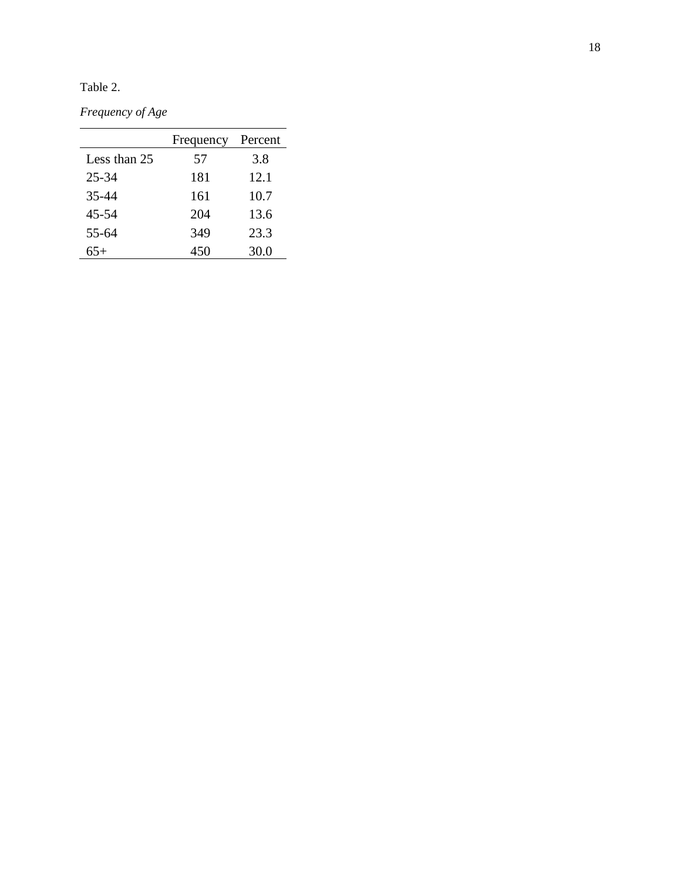Table 2.

*Frequency of Age*

|              | Frequency | Percent |  |  |
|--------------|-----------|---------|--|--|
| Less than 25 | 57        | 3.8     |  |  |
| $25 - 34$    | 181       | 12.1    |  |  |
| 35-44        | 161       | 10.7    |  |  |
| 45-54        | 204       | 13.6    |  |  |
| 55-64        | 349       | 23.3    |  |  |
| 65+          | 450       | 30.0    |  |  |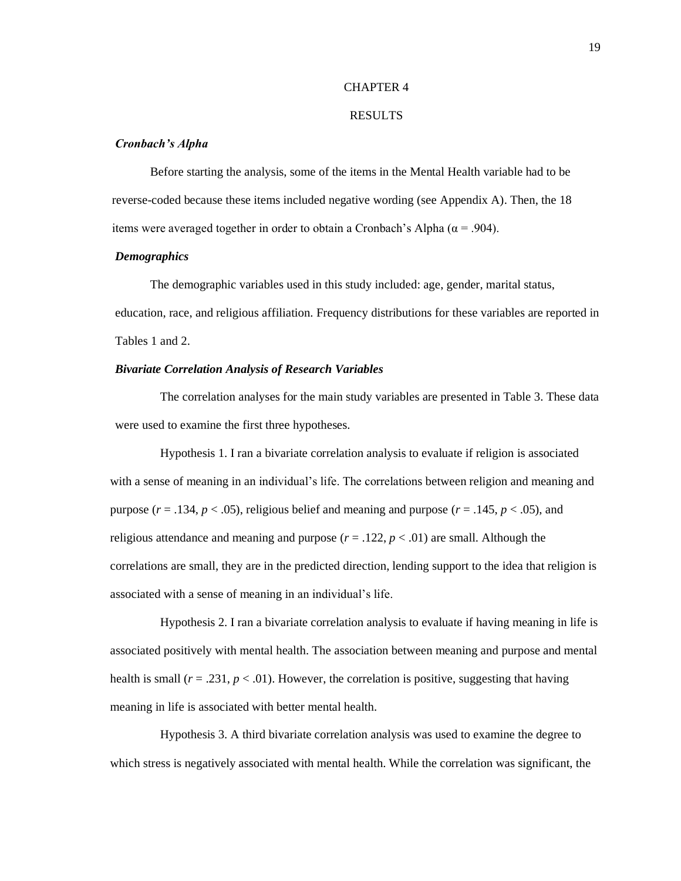#### CHAPTER 4

#### RESULTS

#### *Cronbach's Alpha*

Before starting the analysis, some of the items in the Mental Health variable had to be reverse-coded because these items included negative wording (see Appendix A). Then, the 18 items were averaged together in order to obtain a Cronbach's Alpha ( $\alpha$  = .904).

### *Demographics*

The demographic variables used in this study included: age, gender, marital status, education, race, and religious affiliation. Frequency distributions for these variables are reported in Tables 1 and 2.

### *Bivariate Correlation Analysis of Research Variables*

The correlation analyses for the main study variables are presented in Table 3. These data were used to examine the first three hypotheses.

Hypothesis 1. I ran a bivariate correlation analysis to evaluate if religion is associated with a sense of meaning in an individual's life. The correlations between religion and meaning and purpose  $(r = .134, p < .05)$ , religious belief and meaning and purpose  $(r = .145, p < .05)$ , and religious attendance and meaning and purpose  $(r = .122, p < .01)$  are small. Although the correlations are small, they are in the predicted direction, lending support to the idea that religion is associated with a sense of meaning in an individual's life.

Hypothesis 2. I ran a bivariate correlation analysis to evaluate if having meaning in life is associated positively with mental health. The association between meaning and purpose and mental health is small  $(r = .231, p < .01)$ . However, the correlation is positive, suggesting that having meaning in life is associated with better mental health.

Hypothesis 3. A third bivariate correlation analysis was used to examine the degree to which stress is negatively associated with mental health. While the correlation was significant, the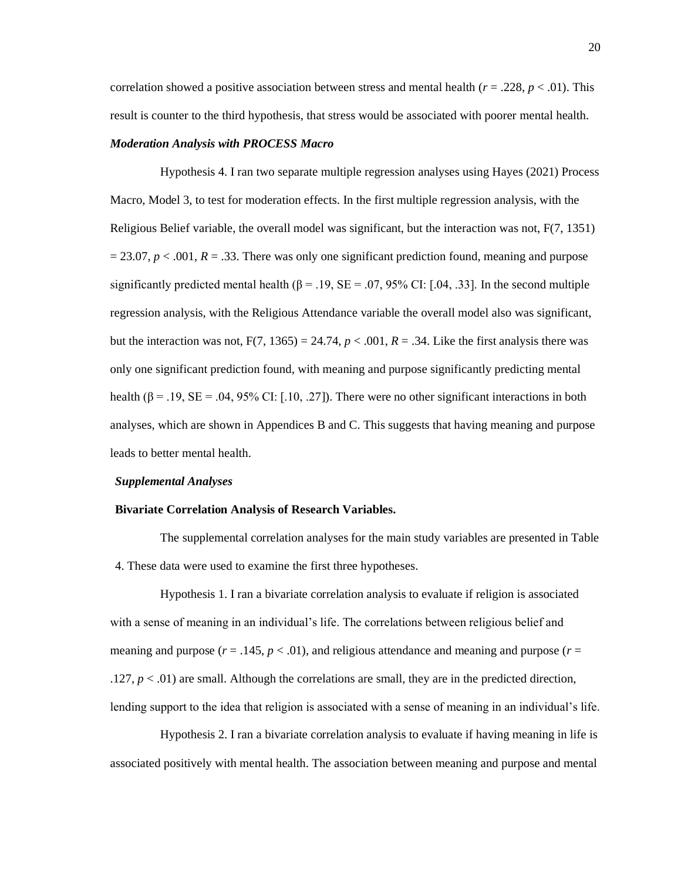correlation showed a positive association between stress and mental health ( $r = .228$ ,  $p < .01$ ). This result is counter to the third hypothesis, that stress would be associated with poorer mental health.

#### *Moderation Analysis with PROCESS Macro*

Hypothesis 4. I ran two separate multiple regression analyses using Hayes (2021) Process Macro, Model 3, to test for moderation effects. In the first multiple regression analysis, with the Religious Belief variable, the overall model was significant, but the interaction was not, F(7, 1351)  $= 23.07, p < .001, R = .33$ . There was only one significant prediction found, meaning and purpose significantly predicted mental health ( $\beta = .19$ , SE = .07, 95% CI: [.04, .33]. In the second multiple regression analysis, with the Religious Attendance variable the overall model also was significant, but the interaction was not,  $F(7, 1365) = 24.74$ ,  $p < .001$ ,  $R = .34$ . Like the first analysis there was only one significant prediction found, with meaning and purpose significantly predicting mental health ( $\beta = .19$ ,  $SE = .04$ ,  $95\%$  CI: [.10, .27]). There were no other significant interactions in both analyses, which are shown in Appendices B and C. This suggests that having meaning and purpose leads to better mental health.

#### *Supplemental Analyses*

#### **Bivariate Correlation Analysis of Research Variables.**

The supplemental correlation analyses for the main study variables are presented in Table 4. These data were used to examine the first three hypotheses.

Hypothesis 1. I ran a bivariate correlation analysis to evaluate if religion is associated with a sense of meaning in an individual's life. The correlations between religious belief and meaning and purpose  $(r = .145, p < .01)$ , and religious attendance and meaning and purpose  $(r = .145, p < .01)$ . .127,  $p < .01$ ) are small. Although the correlations are small, they are in the predicted direction, lending support to the idea that religion is associated with a sense of meaning in an individual's life.

Hypothesis 2. I ran a bivariate correlation analysis to evaluate if having meaning in life is associated positively with mental health. The association between meaning and purpose and mental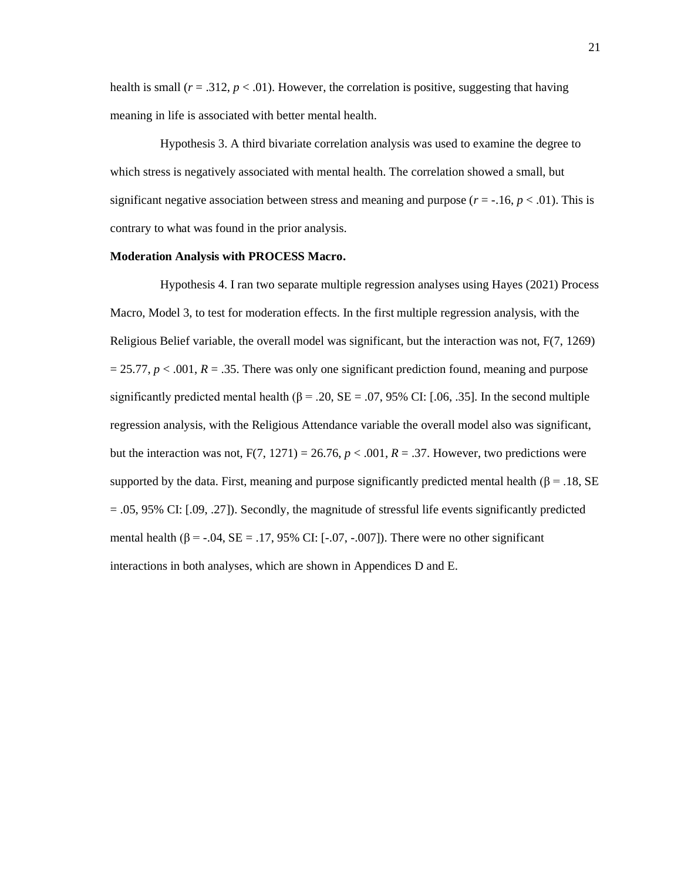health is small  $(r = .312, p < .01)$ . However, the correlation is positive, suggesting that having meaning in life is associated with better mental health.

Hypothesis 3. A third bivariate correlation analysis was used to examine the degree to which stress is negatively associated with mental health. The correlation showed a small, but significant negative association between stress and meaning and purpose  $(r = -16, p < .01)$ . This is contrary to what was found in the prior analysis.

### **Moderation Analysis with PROCESS Macro.**

Hypothesis 4. I ran two separate multiple regression analyses using Hayes (2021) Process Macro, Model 3, to test for moderation effects. In the first multiple regression analysis, with the Religious Belief variable, the overall model was significant, but the interaction was not, F(7, 1269)  $= 25.77$ ,  $p < .001$ ,  $R = .35$ . There was only one significant prediction found, meaning and purpose significantly predicted mental health ( $\beta$  = .20, SE = .07, 95% CI: [.06, .35]. In the second multiple regression analysis, with the Religious Attendance variable the overall model also was significant, but the interaction was not,  $F(7, 1271) = 26.76$ ,  $p < .001$ ,  $R = .37$ . However, two predictions were supported by the data. First, meaning and purpose significantly predicted mental health ( $\beta$  = .18, SE  $= .05, 95\%$  CI:  $[.09, .27]$ ). Secondly, the magnitude of stressful life events significantly predicted mental health ( $\beta$  = -.04, SE = .17, 95% CI: [-.07, -.007]). There were no other significant interactions in both analyses, which are shown in Appendices D and E.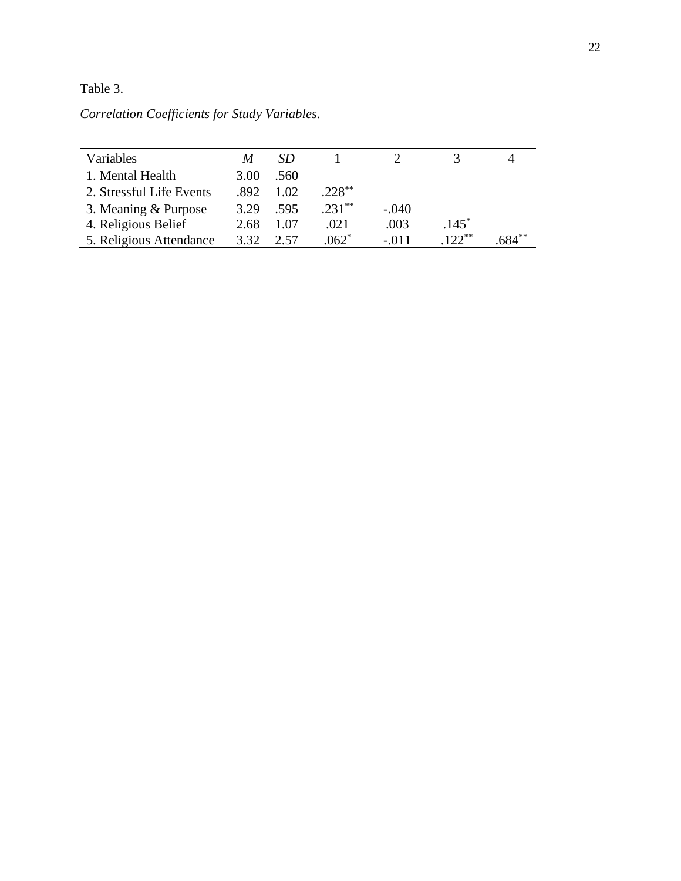Table 3.

*Correlation Coefficients for Study Variables.*

| Variables                | M    | SD    |           |         |         |      |
|--------------------------|------|-------|-----------|---------|---------|------|
| 1. Mental Health         | 3.00 | .560  |           |         |         |      |
| 2. Stressful Life Events | .892 | 1.02. | $.228***$ |         |         |      |
| 3. Meaning & Purpose     | 3.29 | .595  | $.231**$  | $-.040$ |         |      |
| 4. Religious Belief      | 2.68 | 1.07  | .021      | .003    | $.145*$ |      |
| 5. Religious Attendance  | 3.32 | 2.57  | $.062*$   | $-.011$ | $122**$ | 84** |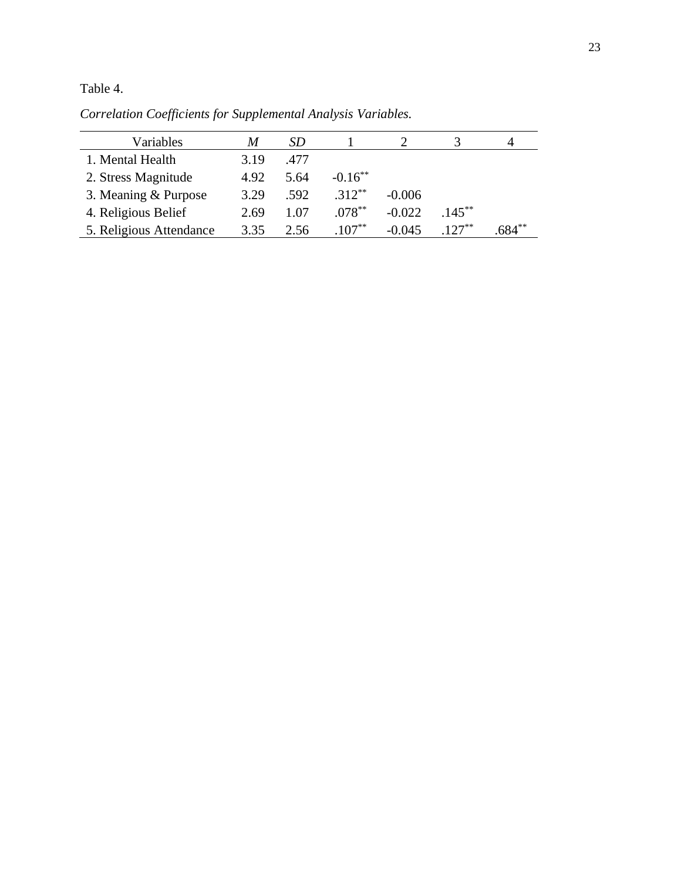Table 4.

| Variables               | M    | SD   |            |          |           |          |
|-------------------------|------|------|------------|----------|-----------|----------|
| 1. Mental Health        | 3.19 | .477 |            |          |           |          |
| 2. Stress Magnitude     | 4.92 | 5.64 | $-0.16***$ |          |           |          |
| 3. Meaning & Purpose    | 3.29 | .592 | $312**$    | $-0.006$ |           |          |
| 4. Religious Belief     | 2.69 | 1.07 | $.078***$  | $-0.022$ | $.145***$ |          |
| 5. Religious Attendance | 3.35 | 2.56 | $.107**$   | $-0.045$ | $127**$   | $n84***$ |

*Correlation Coefficients for Supplemental Analysis Variables.*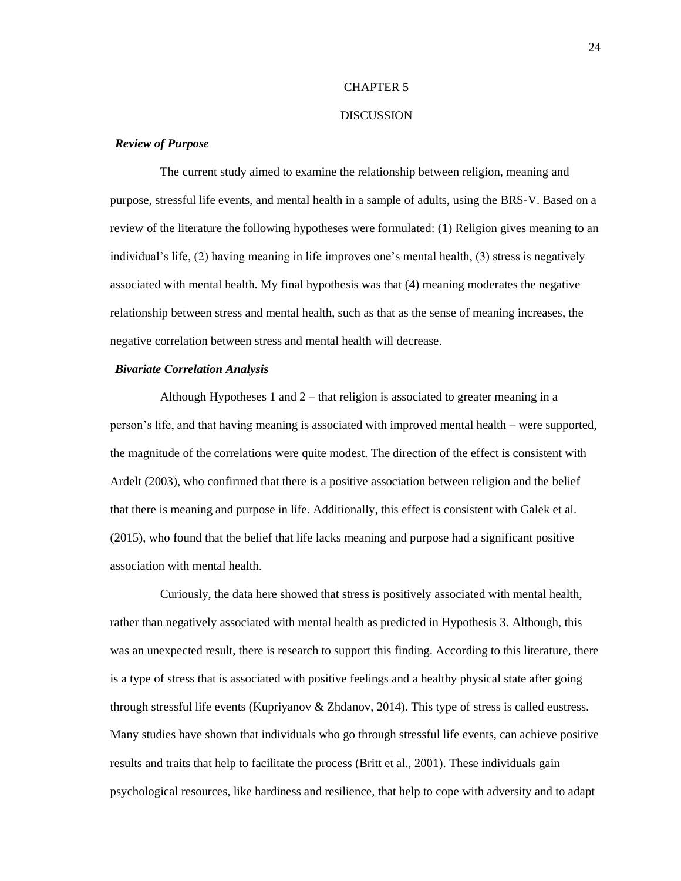#### CHAPTER 5

#### **DISCUSSION**

#### *Review of Purpose*

The current study aimed to examine the relationship between religion, meaning and purpose, stressful life events, and mental health in a sample of adults, using the BRS-V. Based on a review of the literature the following hypotheses were formulated: (1) Religion gives meaning to an individual's life, (2) having meaning in life improves one's mental health, (3) stress is negatively associated with mental health. My final hypothesis was that (4) meaning moderates the negative relationship between stress and mental health, such as that as the sense of meaning increases, the negative correlation between stress and mental health will decrease.

#### *Bivariate Correlation Analysis*

Although Hypotheses 1 and 2 – that religion is associated to greater meaning in a person's life, and that having meaning is associated with improved mental health – were supported, the magnitude of the correlations were quite modest. The direction of the effect is consistent with Ardelt (2003), who confirmed that there is a positive association between religion and the belief that there is meaning and purpose in life. Additionally, this effect is consistent with Galek et al. (2015), who found that the belief that life lacks meaning and purpose had a significant positive association with mental health.

Curiously, the data here showed that stress is positively associated with mental health, rather than negatively associated with mental health as predicted in Hypothesis 3. Although, this was an unexpected result, there is research to support this finding. According to this literature, there is a type of stress that is associated with positive feelings and a healthy physical state after going through stressful life events (Kupriyanov & Zhdanov, 2014). This type of stress is called eustress. Many studies have shown that individuals who go through stressful life events, can achieve positive results and traits that help to facilitate the process (Britt et al., 2001). These individuals gain psychological resources, like hardiness and resilience, that help to cope with adversity and to adapt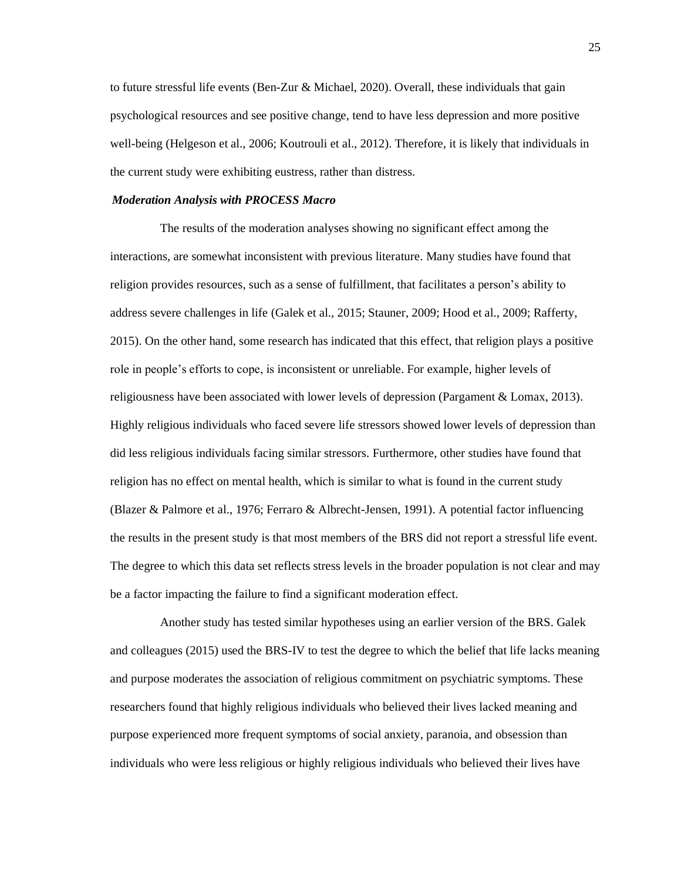to future stressful life events (Ben-Zur & Michael, 2020). Overall, these individuals that gain psychological resources and see positive change, tend to have less depression and more positive well-being (Helgeson et al., 2006; Koutrouli et al., 2012). Therefore, it is likely that individuals in the current study were exhibiting eustress, rather than distress.

#### *Moderation Analysis with PROCESS Macro*

The results of the moderation analyses showing no significant effect among the interactions, are somewhat inconsistent with previous literature. Many studies have found that religion provides resources, such as a sense of fulfillment, that facilitates a person's ability to address severe challenges in life (Galek et al., 2015; Stauner, 2009; Hood et al., 2009; Rafferty, 2015). On the other hand, some research has indicated that this effect, that religion plays a positive role in people's efforts to cope, is inconsistent or unreliable. For example, higher levels of religiousness have been associated with lower levels of depression (Pargament & Lomax, 2013). Highly religious individuals who faced severe life stressors showed lower levels of depression than did less religious individuals facing similar stressors. Furthermore, other studies have found that religion has no effect on mental health, which is similar to what is found in the current study (Blazer & Palmore et al., 1976; Ferraro & Albrecht-Jensen, 1991). A potential factor influencing the results in the present study is that most members of the BRS did not report a stressful life event. The degree to which this data set reflects stress levels in the broader population is not clear and may be a factor impacting the failure to find a significant moderation effect.

Another study has tested similar hypotheses using an earlier version of the BRS. Galek and colleagues (2015) used the BRS-IV to test the degree to which the belief that life lacks meaning and purpose moderates the association of religious commitment on psychiatric symptoms. These researchers found that highly religious individuals who believed their lives lacked meaning and purpose experienced more frequent symptoms of social anxiety, paranoia, and obsession than individuals who were less religious or highly religious individuals who believed their lives have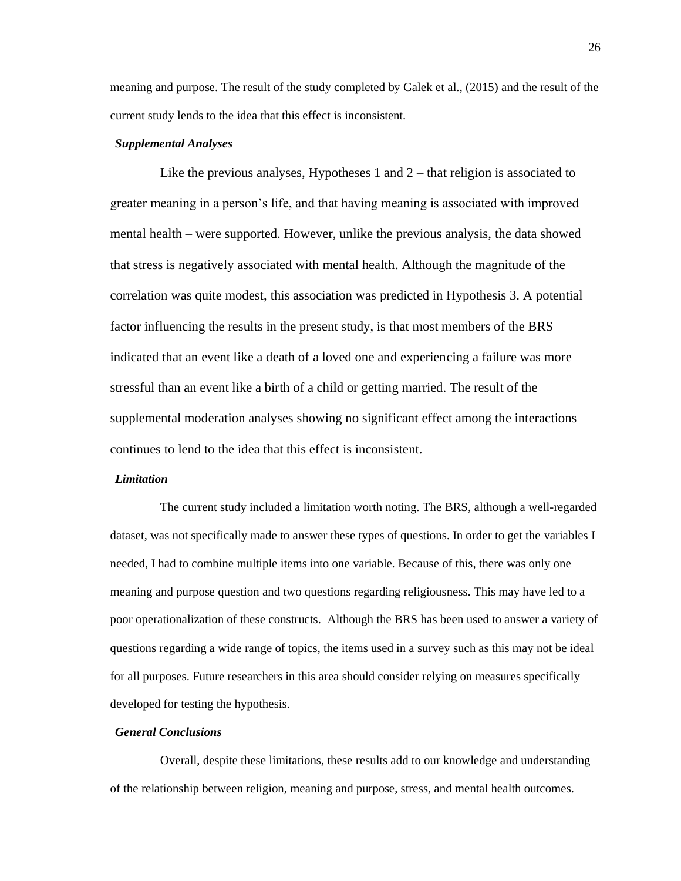meaning and purpose. The result of the study completed by Galek et al., (2015) and the result of the current study lends to the idea that this effect is inconsistent.

#### *Supplemental Analyses*

Like the previous analyses, Hypotheses 1 and 2 – that religion is associated to greater meaning in a person's life, and that having meaning is associated with improved mental health – were supported. However, unlike the previous analysis, the data showed that stress is negatively associated with mental health. Although the magnitude of the correlation was quite modest, this association was predicted in Hypothesis 3. A potential factor influencing the results in the present study, is that most members of the BRS indicated that an event like a death of a loved one and experiencing a failure was more stressful than an event like a birth of a child or getting married. The result of the supplemental moderation analyses showing no significant effect among the interactions continues to lend to the idea that this effect is inconsistent.

#### *Limitation*

The current study included a limitation worth noting. The BRS, although a well-regarded dataset, was not specifically made to answer these types of questions. In order to get the variables I needed, I had to combine multiple items into one variable. Because of this, there was only one meaning and purpose question and two questions regarding religiousness. This may have led to a poor operationalization of these constructs. Although the BRS has been used to answer a variety of questions regarding a wide range of topics, the items used in a survey such as this may not be ideal for all purposes. Future researchers in this area should consider relying on measures specifically developed for testing the hypothesis.

#### *General Conclusions*

Overall, despite these limitations, these results add to our knowledge and understanding of the relationship between religion, meaning and purpose, stress, and mental health outcomes.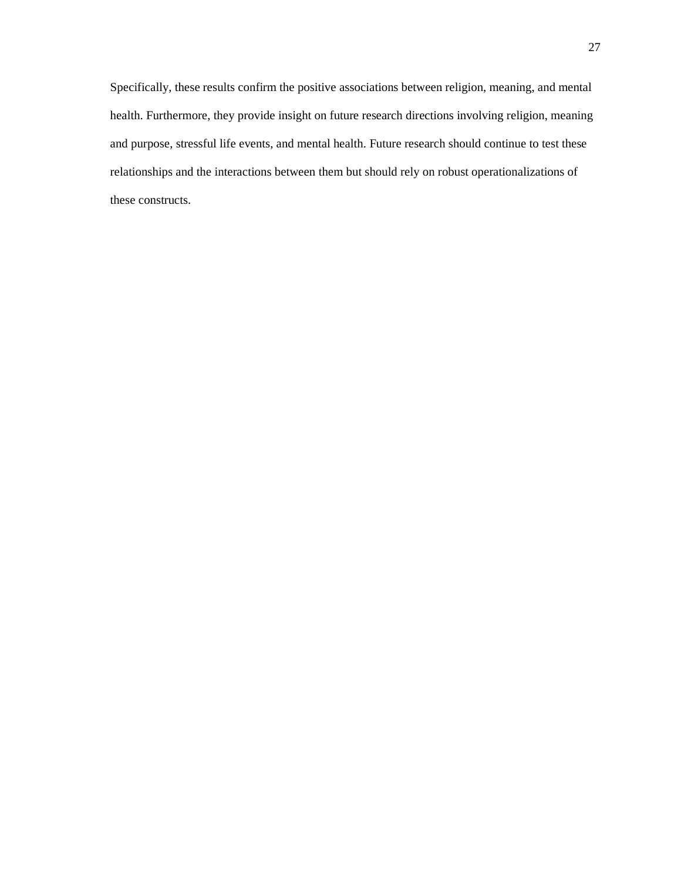Specifically, these results confirm the positive associations between religion, meaning, and mental health. Furthermore, they provide insight on future research directions involving religion, meaning and purpose, stressful life events, and mental health. Future research should continue to test these relationships and the interactions between them but should rely on robust operationalizations of these constructs.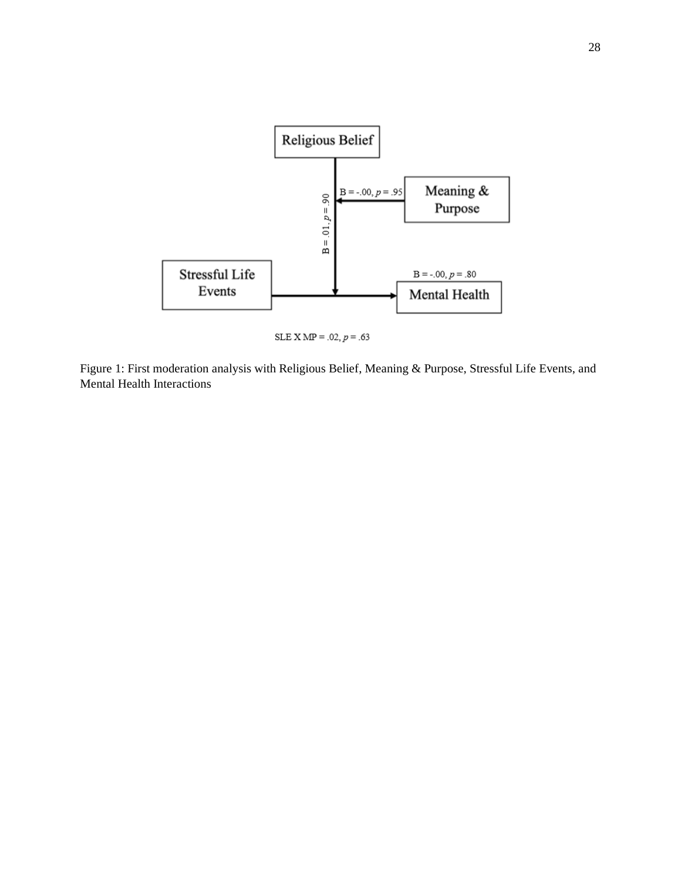

SLE X MP =  $.02, p = .63$ 

Figure 1: First moderation analysis with Religious Belief, Meaning & Purpose, Stressful Life Events, and Mental Health Interactions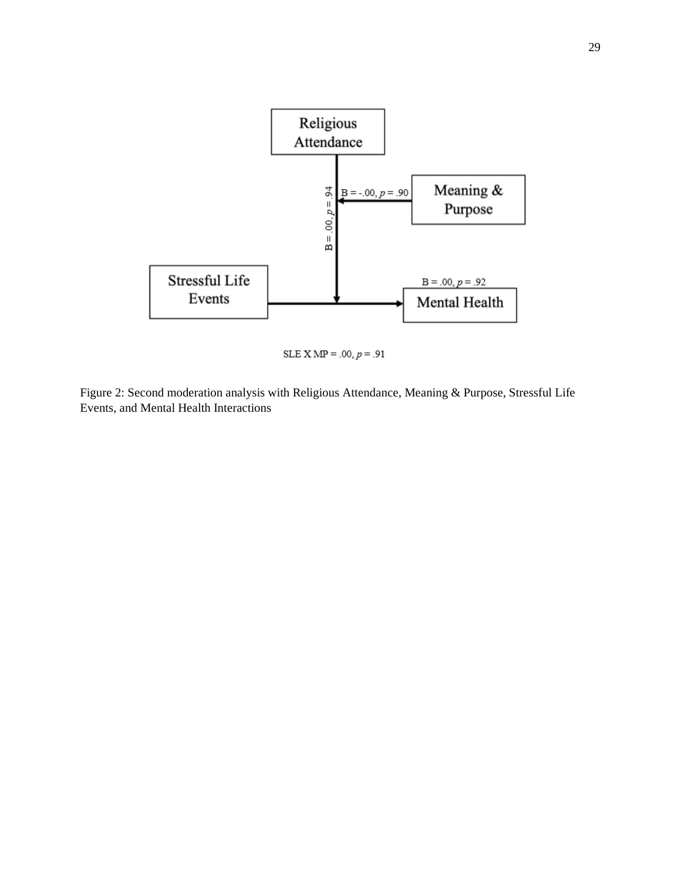

SLE X MP = .00,  $p = .91$ 

Figure 2: Second moderation analysis with Religious Attendance, Meaning & Purpose, Stressful Life Events, and Mental Health Interactions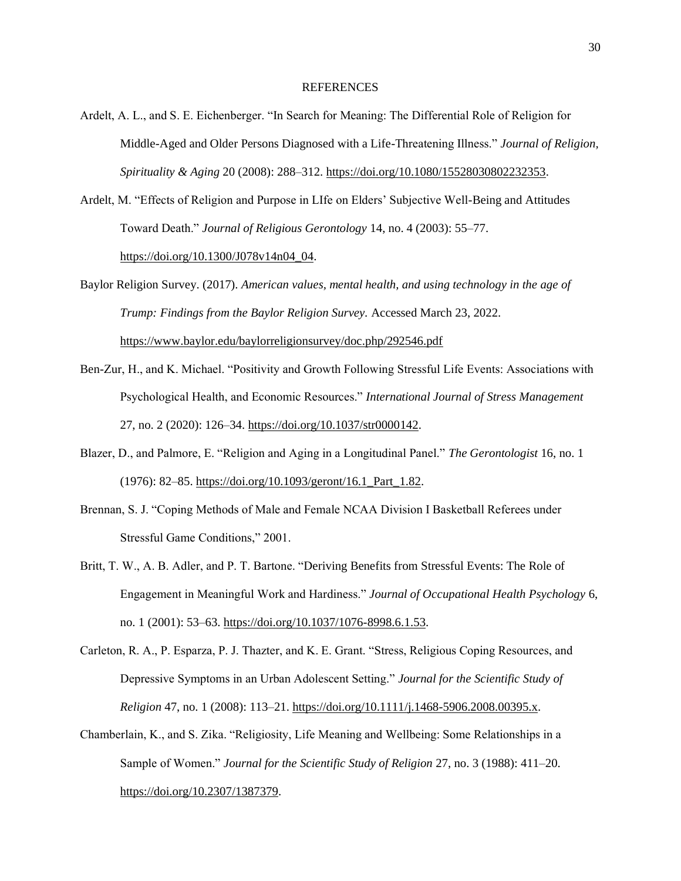#### **REFERENCES**

- Ardelt, A. L., and S. E. Eichenberger. "In Search for Meaning: The Differential Role of Religion for Middle-Aged and Older Persons Diagnosed with a Life-Threatening Illness." *Journal of Religion, Spirituality & Aging* 20 (2008): 288–312. [https://doi.org/10.1080/15528030802232353.](https://doi.org/10.1080/15528030802232353)
- Ardelt, M. "Effects of Religion and Purpose in LIfe on Elders' Subjective Well-Being and Attitudes Toward Death." *Journal of Religious Gerontology* 14, no. 4 (2003): 55–77. [https://doi.org/10.1300/J078v14n04\\_04.](https://doi.org/10.1300/J078v14n04_04)
- Baylor Religion Survey. (2017). *American values, mental health, and using technology in the age of Trump: Findings from the Baylor Religion Survey.* Accessed March 23, 2022. <https://www.baylor.edu/baylorreligionsurvey/doc.php/292546.pdf>
- Ben-Zur, H., and K. Michael. "Positivity and Growth Following Stressful Life Events: Associations with Psychological Health, and Economic Resources." *International Journal of Stress Management* 27, no. 2 (2020): 126–34. [https://doi.org/10.1037/str0000142.](https://doi.org/10.1037/str0000142)
- Blazer, D., and Palmore, E. "Religion and Aging in a Longitudinal Panel." *The Gerontologist* 16, no. 1 (1976): 82–85. [https://doi.org/10.1093/geront/16.1\\_Part\\_1.82.](https://doi.org/10.1093/geront/16.1_Part_1.82)
- Brennan, S. J. "Coping Methods of Male and Female NCAA Division I Basketball Referees under Stressful Game Conditions," 2001.
- Britt, T. W., A. B. Adler, and P. T. Bartone. "Deriving Benefits from Stressful Events: The Role of Engagement in Meaningful Work and Hardiness." *Journal of Occupational Health Psychology* 6, no. 1 (2001): 53–63. [https://doi.org/10.1037/1076-8998.6.1.53.](https://doi.org/10.1037/1076-8998.6.1.53)
- Carleton, R. A., P. Esparza, P. J. Thazter, and K. E. Grant. "Stress, Religious Coping Resources, and Depressive Symptoms in an Urban Adolescent Setting." *Journal for the Scientific Study of Religion* 47, no. 1 (2008): 113–21. [https://doi.org/10.1111/j.1468-5906.2008.00395.x.](https://doi.org/10.1111/j.1468-5906.2008.00395.x)
- Chamberlain, K., and S. Zika. "Religiosity, Life Meaning and Wellbeing: Some Relationships in a Sample of Women." *Journal for the Scientific Study of Religion* 27, no. 3 (1988): 411–20. [https://doi.org/10.2307/1387379.](https://doi.org/10.2307/1387379)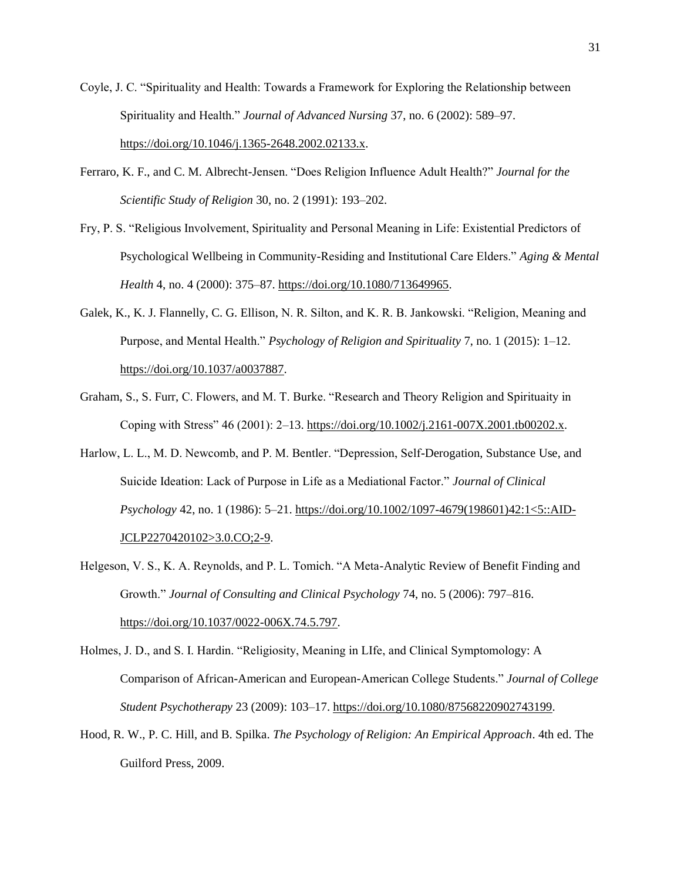- Coyle, J. C. "Spirituality and Health: Towards a Framework for Exploring the Relationship between Spirituality and Health." *Journal of Advanced Nursing* 37, no. 6 (2002): 589–97. [https://doi.org/10.1046/j.1365-2648.2002.02133.x.](https://doi.org/10.1046/j.1365-2648.2002.02133.x)
- Ferraro, K. F., and C. M. Albrecht-Jensen. "Does Religion Influence Adult Health?" *Journal for the Scientific Study of Religion* 30, no. 2 (1991): 193–202.
- Fry, P. S. "Religious Involvement, Spirituality and Personal Meaning in Life: Existential Predictors of Psychological Wellbeing in Community-Residing and Institutional Care Elders." *Aging & Mental Health* 4, no. 4 (2000): 375–87. [https://doi.org/10.1080/713649965.](https://doi.org/10.1080/713649965)
- Galek, K., K. J. Flannelly, C. G. Ellison, N. R. Silton, and K. R. B. Jankowski. "Religion, Meaning and Purpose, and Mental Health." *Psychology of Religion and Spirituality* 7, no. 1 (2015): 1–12. [https://doi.org/10.1037/a0037887.](https://doi.org/10.1037/a0037887)
- Graham, S., S. Furr, C. Flowers, and M. T. Burke. "Research and Theory Religion and Spirituaity in Coping with Stress" 46 (2001): 2–13[. https://doi.org/10.1002/j.2161-007X.2001.tb00202.x.](https://doi.org/10.1002/j.2161-007X.2001.tb00202.x)
- Harlow, L. L., M. D. Newcomb, and P. M. Bentler. "Depression, Self-Derogation, Substance Use, and Suicide Ideation: Lack of Purpose in Life as a Mediational Factor." *Journal of Clinical Psychology* 42, no. 1 (1986): 5–21. [https://doi.org/10.1002/1097-4679\(198601\)42:1<5::AID-](https://doi.org/10.1002/1097-4679(198601)42:1%3c5::AID-JCLP2270420102%3e3.0.CO;2-9)[JCLP2270420102>3.0.CO;2-9.](https://doi.org/10.1002/1097-4679(198601)42:1%3c5::AID-JCLP2270420102%3e3.0.CO;2-9)
- Helgeson, V. S., K. A. Reynolds, and P. L. Tomich. "A Meta-Analytic Review of Benefit Finding and Growth." *Journal of Consulting and Clinical Psychology* 74, no. 5 (2006): 797–816. [https://doi.org/10.1037/0022-006X.74.5.797.](https://doi.org/10.1037/0022-006X.74.5.797)
- Holmes, J. D., and S. I. Hardin. "Religiosity, Meaning in LIfe, and Clinical Symptomology: A Comparison of African-American and European-American College Students." *Journal of College Student Psychotherapy* 23 (2009): 103–17. [https://doi.org/10.1080/87568220902743199.](https://doi.org/10.1080/87568220902743199)
- Hood, R. W., P. C. Hill, and B. Spilka. *The Psychology of Religion: An Empirical Approach*. 4th ed. The Guilford Press, 2009.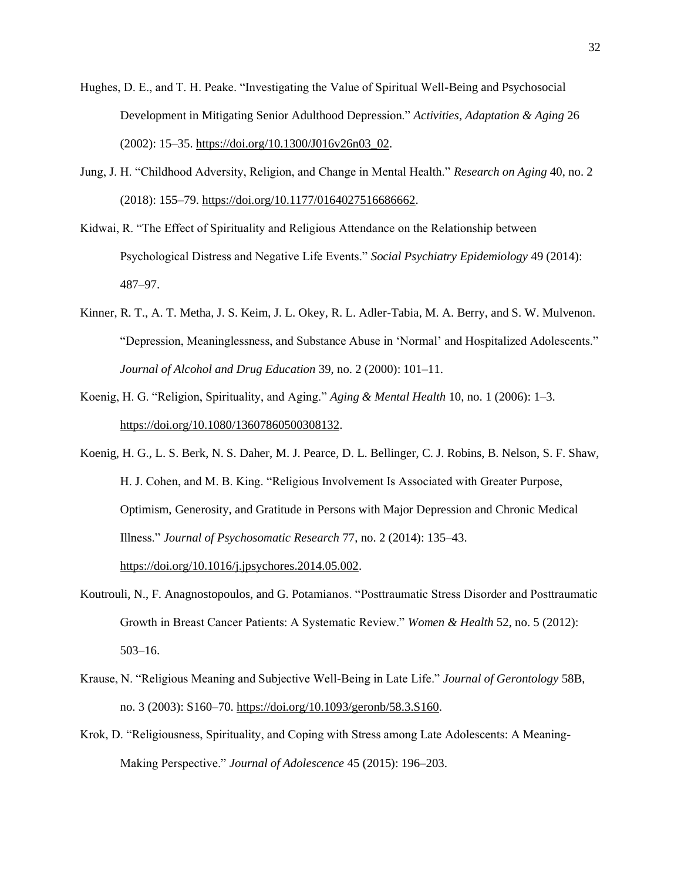- Hughes, D. E., and T. H. Peake. "Investigating the Value of Spiritual Well-Being and Psychosocial Development in Mitigating Senior Adulthood Depression." *Activities, Adaptation & Aging* 26 (2002): 15–35. [https://doi.org/10.1300/J016v26n03\\_02.](https://doi.org/10.1300/J016v26n03_02)
- Jung, J. H. "Childhood Adversity, Religion, and Change in Mental Health." *Research on Aging* 40, no. 2 (2018): 155–79[. https://doi.org/10.1177/0164027516686662.](https://doi.org/10.1177/0164027516686662)
- Kidwai, R. "The Effect of Spirituality and Religious Attendance on the Relationship between Psychological Distress and Negative Life Events." *Social Psychiatry Epidemiology* 49 (2014): 487–97.
- Kinner, R. T., A. T. Metha, J. S. Keim, J. L. Okey, R. L. Adler-Tabia, M. A. Berry, and S. W. Mulvenon. "Depression, Meaninglessness, and Substance Abuse in 'Normal' and Hospitalized Adolescents." *Journal of Alcohol and Drug Education* 39, no. 2 (2000): 101–11.
- Koenig, H. G. "Religion, Spirituality, and Aging." *Aging & Mental Health* 10, no. 1 (2006): 1–3. [https://doi.org/10.1080/13607860500308132.](https://doi.org/10.1080/13607860500308132)
- Koenig, H. G., L. S. Berk, N. S. Daher, M. J. Pearce, D. L. Bellinger, C. J. Robins, B. Nelson, S. F. Shaw, H. J. Cohen, and M. B. King. "Religious Involvement Is Associated with Greater Purpose, Optimism, Generosity, and Gratitude in Persons with Major Depression and Chronic Medical Illness." *Journal of Psychosomatic Research* 77, no. 2 (2014): 135–43. [https://doi.org/10.1016/j.jpsychores.2014.05.002.](https://doi.org/10.1016/j.jpsychores.2014.05.002)
- Koutrouli, N., F. Anagnostopoulos, and G. Potamianos. "Posttraumatic Stress Disorder and Posttraumatic Growth in Breast Cancer Patients: A Systematic Review." *Women & Health* 52, no. 5 (2012): 503–16.
- Krause, N. "Religious Meaning and Subjective Well-Being in Late Life." *Journal of Gerontology* 58B, no. 3 (2003): S160–70[. https://doi.org/10.1093/geronb/58.3.S160.](https://doi.org/10.1093/geronb/58.3.S160)
- Krok, D. "Religiousness, Spirituality, and Coping with Stress among Late Adolescents: A Meaning-Making Perspective." *Journal of Adolescence* 45 (2015): 196–203.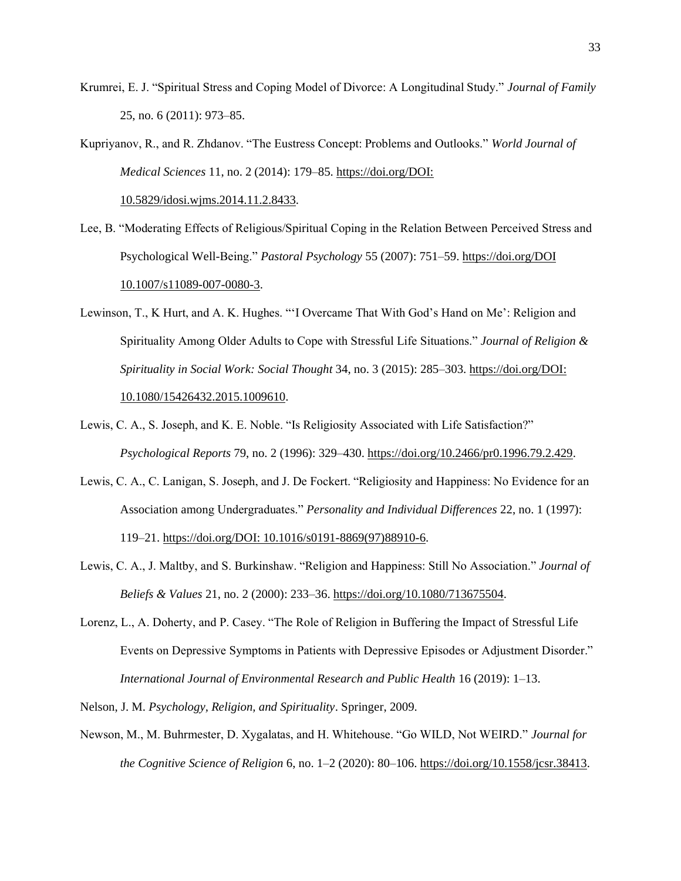Krumrei, E. J. "Spiritual Stress and Coping Model of Divorce: A Longitudinal Study." *Journal of Family* 25, no. 6 (2011): 973–85.

Kupriyanov, R., and R. Zhdanov. "The Eustress Concept: Problems and Outlooks." *World Journal of Medical Sciences* 11, no. 2 (2014): 179–85. [https://doi.org/DOI:](https://doi.org/DOI:%2010.5829/idosi.wjms.2014.11.2.8433)  [10.5829/idosi.wjms.2014.11.2.8433.](https://doi.org/DOI:%2010.5829/idosi.wjms.2014.11.2.8433)

- Lee, B. "Moderating Effects of Religious/Spiritual Coping in the Relation Between Perceived Stress and Psychological Well-Being." *Pastoral Psychology* 55 (2007): 751–59[. https://doi.org/DOI](https://doi.org/DOI%2010.1007/s11089-007-0080-3)  [10.1007/s11089-007-0080-3.](https://doi.org/DOI%2010.1007/s11089-007-0080-3)
- Lewinson, T., K Hurt, and A. K. Hughes. "'I Overcame That With God's Hand on Me': Religion and Spirituality Among Older Adults to Cope with Stressful Life Situations." *Journal of Religion & Spirituality in Social Work: Social Thought* 34, no. 3 (2015): 285–303. [https://doi.org/DOI:](https://doi.org/DOI:%2010.1080/15426432.2015.1009610)  [10.1080/15426432.2015.1009610.](https://doi.org/DOI:%2010.1080/15426432.2015.1009610)
- Lewis, C. A., S. Joseph, and K. E. Noble. "Is Religiosity Associated with Life Satisfaction?" *Psychological Reports* 79, no. 2 (1996): 329–430. [https://doi.org/10.2466/pr0.1996.79.2.429.](https://doi.org/10.2466/pr0.1996.79.2.429)
- Lewis, C. A., C. Lanigan, S. Joseph, and J. De Fockert. "Religiosity and Happiness: No Evidence for an Association among Undergraduates." *Personality and Individual Differences* 22, no. 1 (1997): 119–21. [https://doi.org/DOI: 10.1016/s0191-8869\(97\)88910-6.](https://doi.org/DOI:%2010.1016/s0191-8869(97)88910-6)
- Lewis, C. A., J. Maltby, and S. Burkinshaw. "Religion and Happiness: Still No Association." *Journal of Beliefs & Values* 21, no. 2 (2000): 233–36[. https://doi.org/10.1080/713675504.](https://doi.org/10.1080/713675504)
- Lorenz, L., A. Doherty, and P. Casey. "The Role of Religion in Buffering the Impact of Stressful Life Events on Depressive Symptoms in Patients with Depressive Episodes or Adjustment Disorder." *International Journal of Environmental Research and Public Health* 16 (2019): 1–13.

Nelson, J. M. *Psychology, Religion, and Spirituality*. Springer, 2009.

Newson, M., M. Buhrmester, D. Xygalatas, and H. Whitehouse. "Go WILD, Not WEIRD." *Journal for the Cognitive Science of Religion* 6, no. 1–2 (2020): 80–106. [https://doi.org/10.1558/jcsr.38413.](https://doi.org/10.1558/jcsr.38413)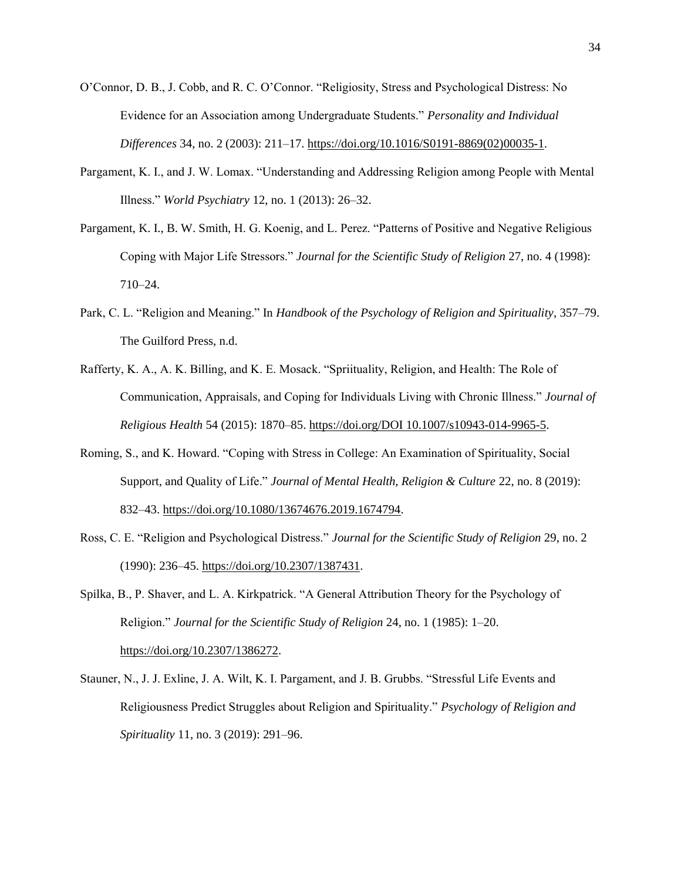- O'Connor, D. B., J. Cobb, and R. C. O'Connor. "Religiosity, Stress and Psychological Distress: No Evidence for an Association among Undergraduate Students." *Personality and Individual Differences* 34, no. 2 (2003): 211–17. [https://doi.org/10.1016/S0191-8869\(02\)00035-1.](https://doi.org/10.1016/S0191-8869(02)00035-1)
- Pargament, K. I., and J. W. Lomax. "Understanding and Addressing Religion among People with Mental Illness." *World Psychiatry* 12, no. 1 (2013): 26–32.
- Pargament, K. I., B. W. Smith, H. G. Koenig, and L. Perez. "Patterns of Positive and Negative Religious Coping with Major Life Stressors." *Journal for the Scientific Study of Religion* 27, no. 4 (1998): 710–24.
- Park, C. L. "Religion and Meaning." In *Handbook of the Psychology of Religion and Spirituality*, 357–79. The Guilford Press, n.d.
- Rafferty, K. A., A. K. Billing, and K. E. Mosack. "Spriituality, Religion, and Health: The Role of Communication, Appraisals, and Coping for Individuals Living with Chronic Illness." *Journal of Religious Health* 54 (2015): 1870–85. [https://doi.org/DOI 10.1007/s10943-014-9965-5.](https://doi.org/DOI%2010.1007/s10943-014-9965-5)
- Roming, S., and K. Howard. "Coping with Stress in College: An Examination of Spirituality, Social Support, and Quality of Life." *Journal of Mental Health, Religion & Culture* 22, no. 8 (2019): 832–43. [https://doi.org/10.1080/13674676.2019.1674794.](https://doi.org/10.1080/13674676.2019.1674794)
- Ross, C. E. "Religion and Psychological Distress." *Journal for the Scientific Study of Religion* 29, no. 2 (1990): 236–45[. https://doi.org/10.2307/1387431.](https://doi.org/10.2307/1387431)
- Spilka, B., P. Shaver, and L. A. Kirkpatrick. "A General Attribution Theory for the Psychology of Religion." *Journal for the Scientific Study of Religion* 24, no. 1 (1985): 1–20. [https://doi.org/10.2307/1386272.](https://doi.org/10.2307/1386272)
- Stauner, N., J. J. Exline, J. A. Wilt, K. I. Pargament, and J. B. Grubbs. "Stressful Life Events and Religiousness Predict Struggles about Religion and Spirituality." *Psychology of Religion and Spirituality* 11, no. 3 (2019): 291–96.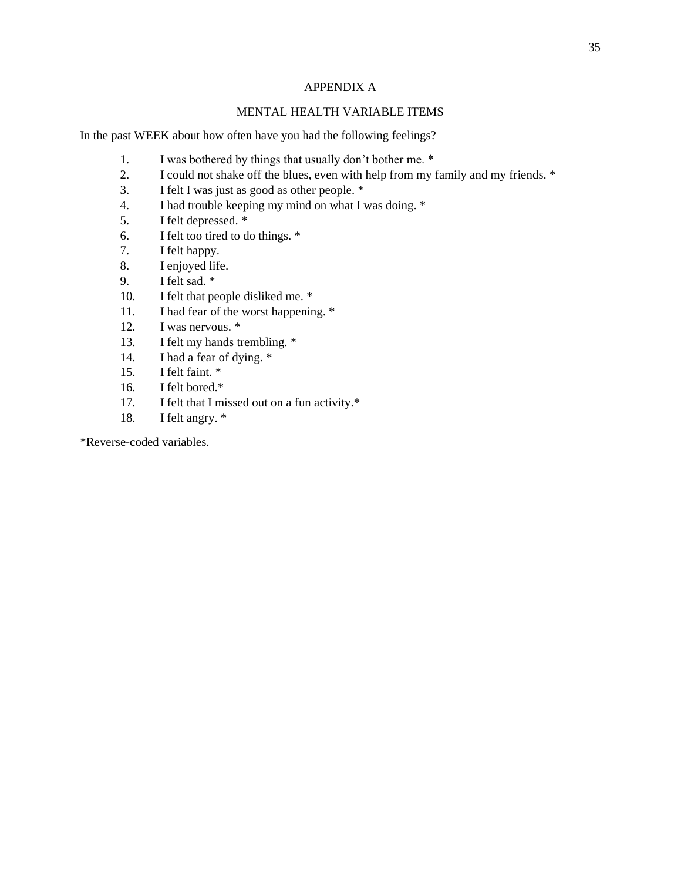# APPENDIX A

# MENTAL HEALTH VARIABLE ITEMS

In the past WEEK about how often have you had the following feelings?

- 1. I was bothered by things that usually don't bother me. \*
- 2. I could not shake off the blues, even with help from my family and my friends. \*
- 3. I felt I was just as good as other people. \*
- 4. I had trouble keeping my mind on what I was doing. \*
- 5. I felt depressed. \*
- 6. I felt too tired to do things. \*
- 7. I felt happy.
- 8. I enjoyed life.
- 9. I felt sad. \*
- 10. I felt that people disliked me. \*
- 11. I had fear of the worst happening. \*
- 12. I was nervous. \*
- 13. I felt my hands trembling. \*
- 14. I had a fear of dying. \*
- 15. I felt faint. \*
- 16. I felt bored.\*
- 17. I felt that I missed out on a fun activity.\*
- 18. I felt angry. \*

\*Reverse-coded variables.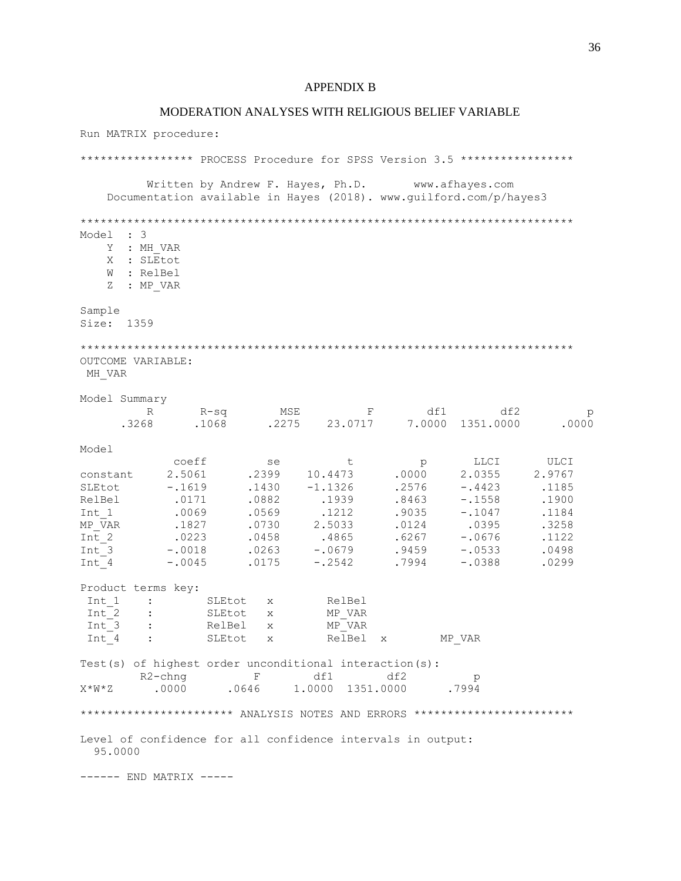#### APPENDIX B

#### MODERATION ANALYSES WITH RELIGIOUS BELIEF VARIABLE

Run MATRIX procedure: \*\*\*\*\*\*\*\*\*\*\*\*\*\*\*\* PROCESS Procedure for SPSS Version 3.5 \*\*\*\*\*\*\*\*\*\*\*\*\*\*\*\*\* Written by Andrew F. Hayes, Ph.D. www.afhayes.com Documentation available in Hayes (2018). www.guilford.com/p/hayes3 \*\*\*\*\*\*\*\*\*\*\*\*\*\*\*\*\*\*\*\*\*\*\*\*\*\*\*\*\*\*\*\*\*\*\*\*\*\*\*\*\*\*\*\*\*\*\*\*\*\*\*\*\*\*\*\*\*\*\*\*\*\*\*\*\*\*\*\*\*\*\*\*\*\* Model : 3 Y : MH\_VAR X : SLEtot W : RelBel Z : MP VAR Sample Size: 1359 \*\*\*\*\*\*\*\*\*\*\*\*\*\*\*\*\*\*\*\*\*\*\*\*\*\*\*\*\*\*\*\*\*\*\*\*\*\*\*\*\*\*\*\*\*\*\*\*\*\*\*\*\*\*\*\*\*\*\*\*\*\*\*\*\*\*\*\*\*\*\*\*\*\* OUTCOME VARIABLE: MH\_VAR Model Summary R R-sq MSE F df1 df2 p .3268 .1068 .2275 23.0717 7.0000 1351.0000 .0000 Model<br>
coeff<br>
constant<br>
SLEtot -.1619<br>
RelBel<br>
C173 coeff se t p LLCI ULCI constant 2.5061 .2399 10.4473 .0000 2.0355 2.9767 SLEtot -.1619 .1430 -1.1326 .2576 -.4423 .1185 RelBel .0171 .0882 .1939 .8463 -.1558 .1900 Int\_1 .0069 .0569 .1212 .9035 -.1047 .1184 MP\_VAR .1827 .0730 2.5033 .0124 .0395 .3258 Int\_2 .0223 .0458 .4865 .6267 -.0676 .1122 Int\_3 -.0018 .0263 -.0679 .9459 -.0533 .0498 Int\_4 -.0045 .0175 -.2542 .7994 -.0388 .0299 Product terms key: Int\_1 : SLEtot x<br>Int\_2 : SLEtot x Int 2 : SLEtot x MP\_VAR Int 3 : RelBel x MP\_VAR Int 4 : SLEtot x RelBel x MP\_VAR Test(s) of highest order unconditional interaction(s):<br>R2-chng F df1 df2 R2-chng F df1 df2 p X\*W\*Z .0000 .0646 1.0000 1351.0000 .7994 \*\*\*\*\*\*\*\*\*\*\*\*\*\*\*\*\*\*\*\*\* ANALYSIS NOTES AND ERRORS \*\*\*\*\*\*\*\*\*\*\*\*\*\*\*\*\*\*\*\*\*\*\*\*\* Level of confidence for all confidence intervals in output: 95.0000 ------ END MATRIX -----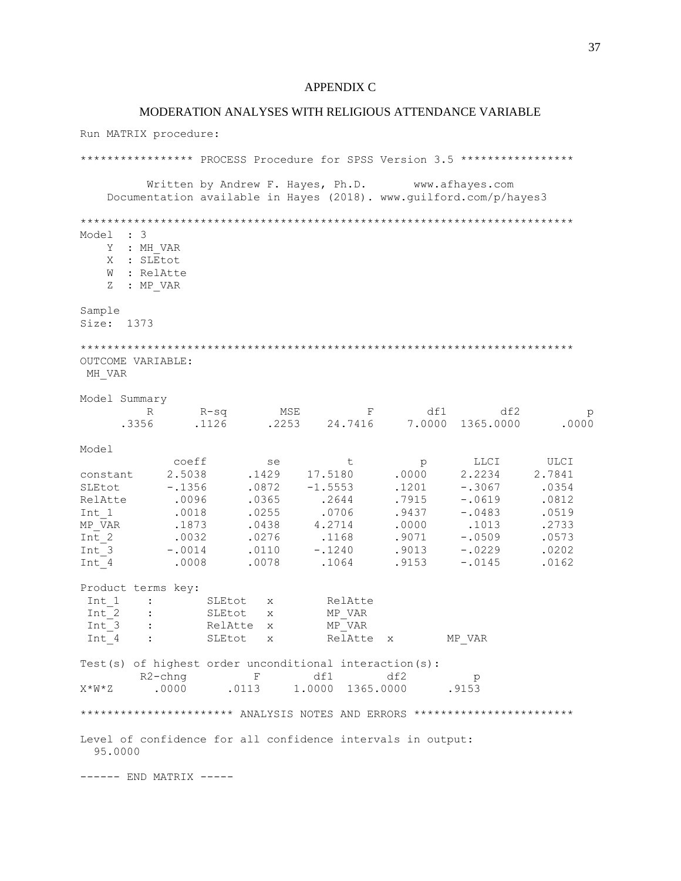#### APPENDIX C

#### MODERATION ANALYSES WITH RELIGIOUS ATTENDANCE VARIABLE

Run MATRIX procedure: \*\*\*\*\*\*\*\*\*\*\*\*\*\*\*\* PROCESS Procedure for SPSS Version 3.5 \*\*\*\*\*\*\*\*\*\*\*\*\*\*\*\*\* Written by Andrew F. Hayes, Ph.D. www.afhayes.com Documentation available in Hayes (2018). www.guilford.com/p/hayes3 \*\*\*\*\*\*\*\*\*\*\*\*\*\*\*\*\*\*\*\*\*\*\*\*\*\*\*\*\*\*\*\*\*\*\*\*\*\*\*\*\*\*\*\*\*\*\*\*\*\*\*\*\*\*\*\*\*\*\*\*\*\*\*\*\*\*\*\*\*\*\*\*\*\* Model : 3 Y : MH\_VAR X : SLEtot W : RelAtte Z : MP VAR Sample Size: 1373 \*\*\*\*\*\*\*\*\*\*\*\*\*\*\*\*\*\*\*\*\*\*\*\*\*\*\*\*\*\*\*\*\*\*\*\*\*\*\*\*\*\*\*\*\*\*\*\*\*\*\*\*\*\*\*\*\*\*\*\*\*\*\*\*\*\*\*\*\*\*\*\*\*\* OUTCOME VARIABLE: MH\_VAR Model Summary R R-sq MSE F df1 df2 p .3356 .1126 .2253 24.7416 7.0000 1365.0000 .0000 Model<br>
coeff<br>
constant<br>
2.5038<br>
SLEtot<br>
-.1356<br>
Relatte<br>
0006 coeff se t p LLCI ULCI constant 2.5038 .1429 17.5180 .0000 2.2234 2.7841 SLEtot -.1356 .0872 -1.5553 .1201 -.3067 .0354 RelAtte .0096 .0365 .2644 .7915 -.0619 .0812 Int\_1 .0018 .0255 .0706 .9437 -.0483 .0519 MP\_VAR .1873 .0438 4.2714 .0000 .1013 .2733 Int\_2 .0032 .0276 .1168 .9071 -.0509 .0573 Int\_3 -.0014 .0110 -.1240 .9013 -.0229 .0202 Int\_4 .0008 .0078 .1064 .9153 -.0145 .0162 Product terms key: Int\_1 : SLEtot x RelAtte<br>Int\_2 : SLEtot x MP\_VAR : SLEtot x Int 3 : RelAtte x MP\_VAR Int 4 : SLEtot x RelAtte x MP\_VAR Test(s) of highest order unconditional interaction(s):<br>R2-chng F df1 df2 R2-chng F df1 df2 p X\*W\*Z .0000 .0113 1.0000 1365.0000 .9153 \*\*\*\*\*\*\*\*\*\*\*\*\*\*\*\*\*\*\*\*\*\* ANALYSIS NOTES AND ERRORS \*\*\*\*\*\*\*\*\*\*\*\*\*\*\*\*\*\*\*\*\*\*\*\*\* Level of confidence for all confidence intervals in output: 95.0000 ------ END MATRIX -----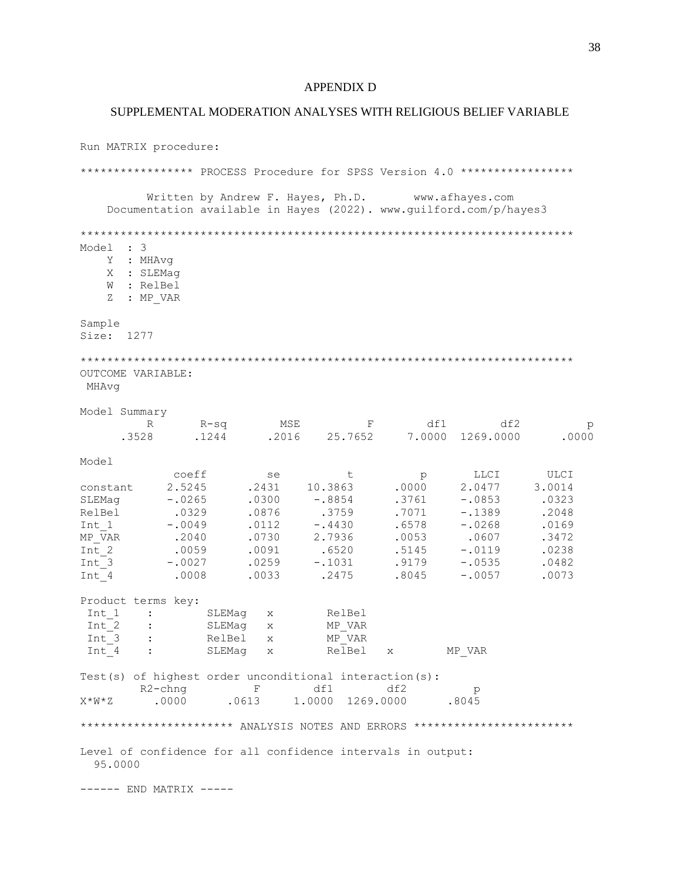#### APPENDIX D

#### SUPPLEMENTAL MODERATION ANALYSES WITH RELIGIOUS BELIEF VARIABLE

Run MATRIX procedure: \*\*\*\*\*\*\*\*\*\*\*\*\*\*\*\* PROCESS Procedure for SPSS Version 4.0 \*\*\*\*\*\*\*\*\*\*\*\*\*\*\*\*\* Written by Andrew F. Hayes, Ph.D. www.afhayes.com Documentation available in Hayes (2022). www.guilford.com/p/hayes3 \*\*\*\*\*\*\*\*\*\*\*\*\*\*\*\*\*\*\*\*\*\*\*\*\*\*\*\*\*\*\*\*\*\*\*\*\*\*\*\*\*\*\*\*\*\*\*\*\*\*\*\*\*\*\*\*\*\*\*\*\*\*\*\*\*\*\*\*\*\*\*\*\*\* Model : 3 Y : MHAvg X : SLEMag W : RelBel Z : MP VAR Sample Size: 1277 \*\*\*\*\*\*\*\*\*\*\*\*\*\*\*\*\*\*\*\*\*\*\*\*\*\*\*\*\*\*\*\*\*\*\*\*\*\*\*\*\*\*\*\*\*\*\*\*\*\*\*\*\*\*\*\*\*\*\*\*\*\*\*\*\*\*\*\*\*\*\*\*\*\* OUTCOME VARIABLE: MHAvg Model Summary R R-sq MSE F df1 df2 p .3528 .1244 .2016 25.7652 7.0000 1269.0000 .0000 Model coeff se t p LLCI ULCI constant 2.5245 .2431 10.3863 .0000 2.0477 3.0014 SLEMag -.0265 .0300 -.8854 .3761 -.0853 .0323 RelBel .0329 .0876 .3759 .7071 -.1389 .2048 Int\_1 -.0049 .0112 -.4430 .6578 -.0268 .0169 MP\_VAR .2040 .0730 2.7936 .0053 .0607 .3472 Int\_2 .0059 .0091 .6520 .5145 -.0119 .0238 Int\_3 -.0027 .0259 -.1031 .9179 -.0535 .0482 Int\_4 .0008 .0033 .2475 .8045 -.0057 .0073 Product terms key: Int\_1 : SLEMag x RelBel<br>Int\_2 : SLEMag x MP VAR  $Int^-2$  : SLEMag x  $Int_3$  : RelBel x<br>  $Int_4$  : SLEMaq x ...<br>IMP\_VAR<br>RelBel x MP\_VAR Test(s) of highest order unconditional interaction(s): R2-chng F df1 df2 p X\*W\*Z .0000 .0613 1.0000 1269.0000 .8045 \*\*\*\*\*\*\*\*\*\*\*\*\*\*\*\*\*\*\*\*\* ANALYSIS NOTES AND ERRORS \*\*\*\*\*\*\*\*\*\*\*\*\*\*\*\*\*\*\*\*\*\*\*\*\* Level of confidence for all confidence intervals in output: 95.0000 ------ END MATRIX -----